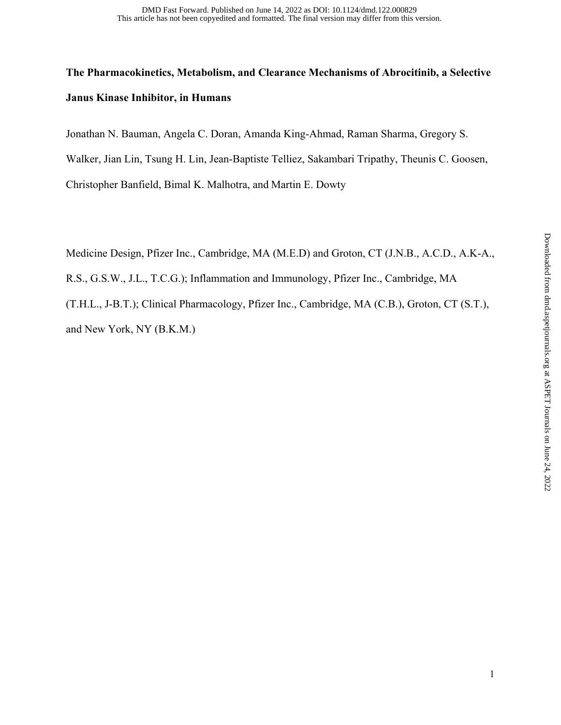# **The Pharmacokinetics, Metabolism, and Clearance Mechanisms of Abrocitinib, a Selective Janus Kinase Inhibitor, in Humans**

Jonathan N. Bauman, Angela C. Doran, Amanda King-Ahmad, Raman Sharma, Gregory S.

Walker, Jian Lin, Tsung H. Lin, Jean-Baptiste Telliez, Sakambari Tripathy, Theunis C. Goosen,

Christopher Banfield, Bimal K. Malhotra, and Martin E. Dowty

Medicine Design, Pfizer Inc., Cambridge, MA (M.E.D) and Groton, CT (J.N.B., A.C.D., A.K-A.,

R.S., G.S.W., J.L., T.C.G.); Inflammation and Immunology, Pfizer Inc., Cambridge, MA

(T.H.L., J-B.T.); Clinical Pharmacology, Pfizer Inc., Cambridge, MA (C.B.), Groton, CT (S.T.), and New York, NY (B.K.M.)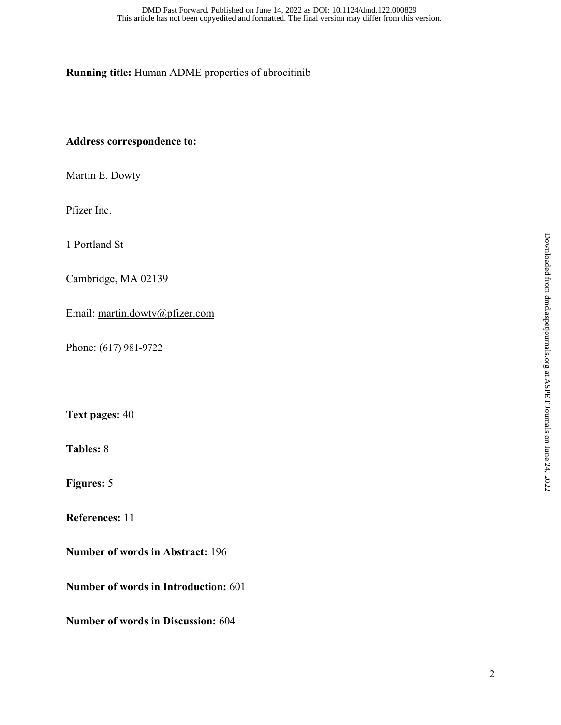## **Running title:** Human ADME properties of abrocitinib

### **Address correspondence to:**

Martin E. Dowty

Pfizer Inc.

1 Portland St

Cambridge, MA 02139

Email: martin.dowty@pfizer.com

Phone: (617) 981-9722

**Text pages:** 40

**Tables:** 8

**Figures:** 5

**References:** 11

**Number of words in Abstract:** 196

**Number of words in Introduction:** 601

**Number of words in Discussion:** 604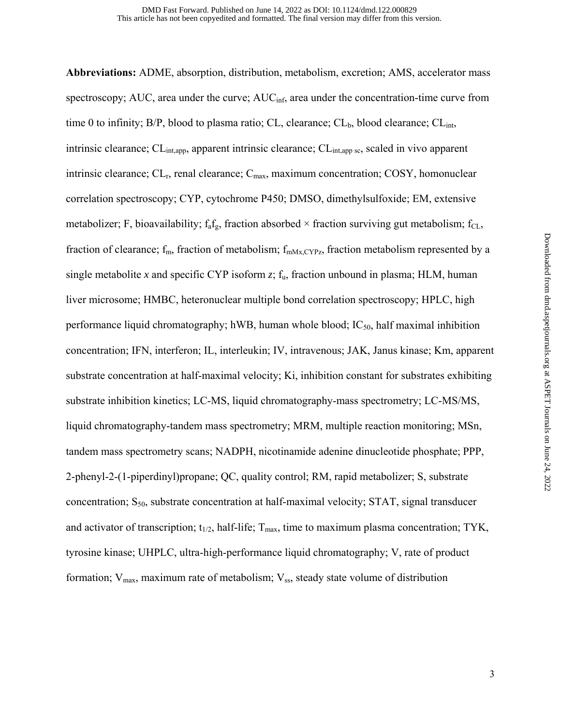**Abbreviations:** ADME, absorption, distribution, metabolism, excretion; AMS, accelerator mass spectroscopy; AUC, area under the curve; AUC<sub>inf</sub>, area under the concentration-time curve from time 0 to infinity;  $B/P$ , blood to plasma ratio; CL, clearance; CL<sub>b</sub>, blood clearance; CL<sub>int</sub>, intrinsic clearance; CL<sub>int,app</sub>, apparent intrinsic clearance; CL<sub>int,app sc</sub>, scaled in vivo apparent intrinsic clearance;  $CL_r$ , renal clearance;  $C_{\text{max}}$ , maximum concentration;  $COSY$ , homonuclear correlation spectroscopy; CYP, cytochrome P450; DMSO, dimethylsulfoxide; EM, extensive metabolizer; F, bioavailability;  $f_a f_g$ , fraction absorbed  $\times$  fraction surviving gut metabolism;  $f_{CL}$ , fraction of clearance;  $f_m$ , fraction of metabolism;  $f_{mMx,CYPz}$ , fraction metabolism represented by a single metabolite x and specific CYP isoform  $z$ ;  $f_u$ , fraction unbound in plasma; HLM, human liver microsome; HMBC, heteronuclear multiple bond correlation spectroscopy; HPLC, high performance liquid chromatography; hWB, human whole blood;  $IC_{50}$ , half maximal inhibition concentration; IFN, interferon; IL, interleukin; IV, intravenous; JAK, Janus kinase; Km, apparent substrate concentration at half-maximal velocity; Ki, inhibition constant for substrates exhibiting substrate inhibition kinetics; LC-MS, liquid chromatography-mass spectrometry; LC-MS/MS, liquid chromatography-tandem mass spectrometry; MRM, multiple reaction monitoring; MSn, tandem mass spectrometry scans; NADPH, nicotinamide adenine dinucleotide phosphate; PPP, 2-phenyl-2-(1-piperdinyl)propane; QC, quality control; RM, rapid metabolizer; S, substrate concentration;  $S_{50}$ , substrate concentration at half-maximal velocity; STAT, signal transducer and activator of transcription;  $t_{1/2}$ , half-life;  $T_{\text{max}}$ , time to maximum plasma concentration; TYK, tyrosine kinase; UHPLC, ultra-high-performance liquid chromatography; V, rate of product formation;  $V_{max}$ , maximum rate of metabolism;  $V_{ss}$ , steady state volume of distribution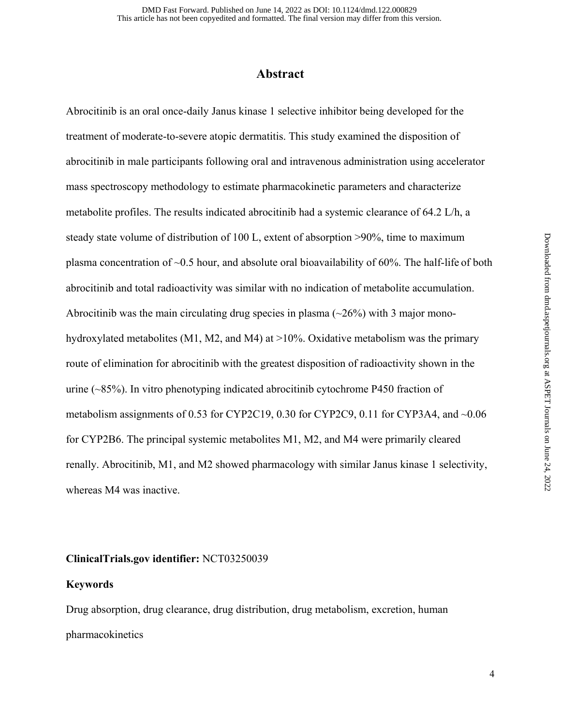## **Abstract**

Abrocitinib is an oral once-daily Janus kinase 1 selective inhibitor being developed for the treatment of moderate-to-severe atopic dermatitis. This study examined the disposition of abrocitinib in male participants following oral and intravenous administration using accelerator mass spectroscopy methodology to estimate pharmacokinetic parameters and characterize metabolite profiles. The results indicated abrocitinib had a systemic clearance of 64.2 L/h, a steady state volume of distribution of 100 L, extent of absorption >90%, time to maximum plasma concentration of ~0.5 hour, and absolute oral bioavailability of 60%. The half-life of both abrocitinib and total radioactivity was similar with no indication of metabolite accumulation. Abrocitinib was the main circulating drug species in plasma  $(\sim 26\%)$  with 3 major monohydroxylated metabolites (M1, M2, and M4) at >10%. Oxidative metabolism was the primary route of elimination for abrocitinib with the greatest disposition of radioactivity shown in the urine  $(\sim 85\%)$ . In vitro phenotyping indicated abrocitinib cytochrome P450 fraction of metabolism assignments of 0.53 for CYP2C19, 0.30 for CYP2C9, 0.11 for CYP3A4, and ~0.06 for CYP2B6. The principal systemic metabolites M1, M2, and M4 were primarily cleared renally. Abrocitinib, M1, and M2 showed pharmacology with similar Janus kinase 1 selectivity, whereas M4 was inactive.

#### **ClinicalTrials.gov identifier:** NCT03250039

#### **Keywords**

Drug absorption, drug clearance, drug distribution, drug metabolism, excretion, human pharmacokinetics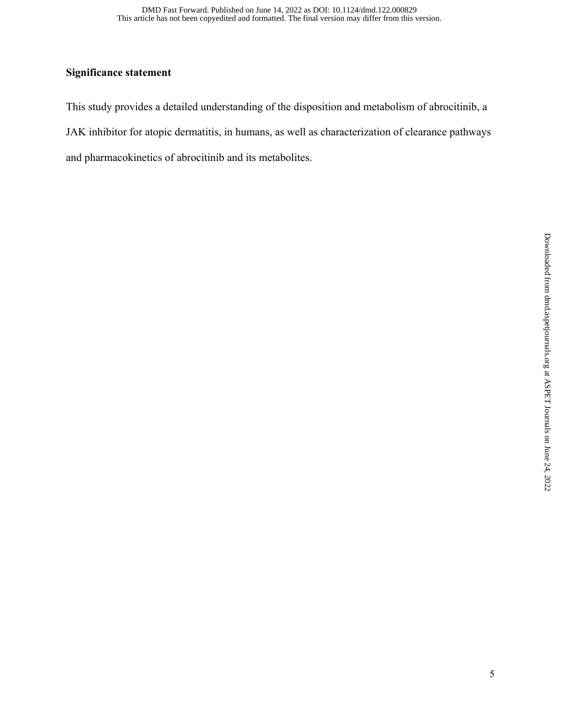## **Significance statement**

This study provides a detailed understanding of the disposition and metabolism of abrocitinib, a JAK inhibitor for atopic dermatitis, in humans, as well as characterization of clearance pathways and pharmacokinetics of abrocitinib and its metabolites.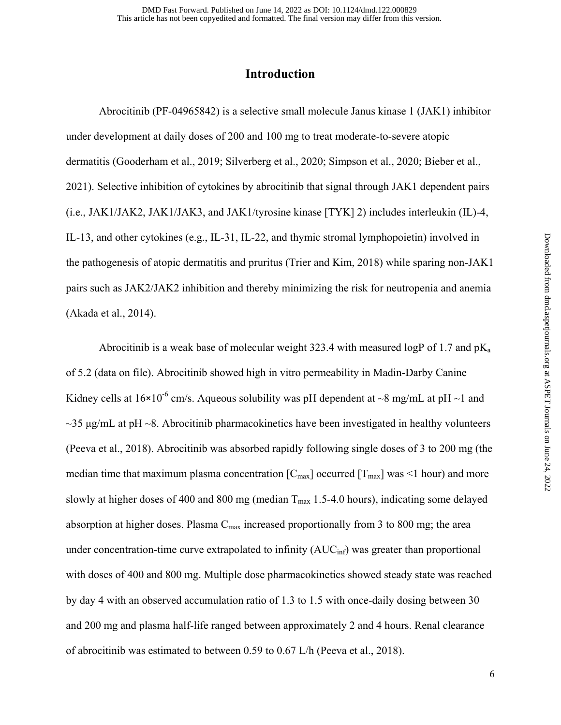# **Introduction**

 Abrocitinib (PF-04965842) is a selective small molecule Janus kinase 1 (JAK1) inhibitor under development at daily doses of 200 and 100 mg to treat moderate-to-severe atopic dermatitis (Gooderham et al., 2019; Silverberg et al., 2020; Simpson et al., 2020; Bieber et al., 2021). Selective inhibition of cytokines by abrocitinib that signal through JAK1 dependent pairs (i.e., JAK1/JAK2, JAK1/JAK3, and JAK1/tyrosine kinase [TYK] 2) includes interleukin (IL)-4, IL-13, and other cytokines (e.g., IL-31, IL-22, and thymic stromal lymphopoietin) involved in the pathogenesis of atopic dermatitis and pruritus (Trier and Kim, 2018) while sparing non-JAK1 pairs such as JAK2/JAK2 inhibition and thereby minimizing the risk for neutropenia and anemia (Akada et al., 2014).

Abrocitinib is a weak base of molecular weight 323.4 with measured logP of 1.7 and  $pK_a$ of 5.2 (data on file). Abrocitinib showed high in vitro permeability in Madin-Darby Canine Kidney cells at  $16\times10^{-6}$  cm/s. Aqueous solubility was pH dependent at  $\sim8$  mg/mL at pH  $\sim1$  and  $\sim$ 35 μg/mL at pH  $\sim$ 8. Abrocitinib pharmacokinetics have been investigated in healthy volunteers (Peeva et al., 2018). Abrocitinib was absorbed rapidly following single doses of 3 to 200 mg (the median time that maximum plasma concentration  $[C_{\text{max}}]$  occurred  $[T_{\text{max}}]$  was <1 hour) and more slowly at higher doses of 400 and 800 mg (median  $T_{\text{max}}$  1.5-4.0 hours), indicating some delayed absorption at higher doses. Plasma  $C_{\text{max}}$  increased proportionally from 3 to 800 mg; the area under concentration-time curve extrapolated to infinity  $(AUC_{\text{inf}})$  was greater than proportional with doses of 400 and 800 mg. Multiple dose pharmacokinetics showed steady state was reached by day 4 with an observed accumulation ratio of 1.3 to 1.5 with once-daily dosing between 30 and 200 mg and plasma half-life ranged between approximately 2 and 4 hours. Renal clearance of abrocitinib was estimated to between 0.59 to 0.67 L/h (Peeva et al., 2018).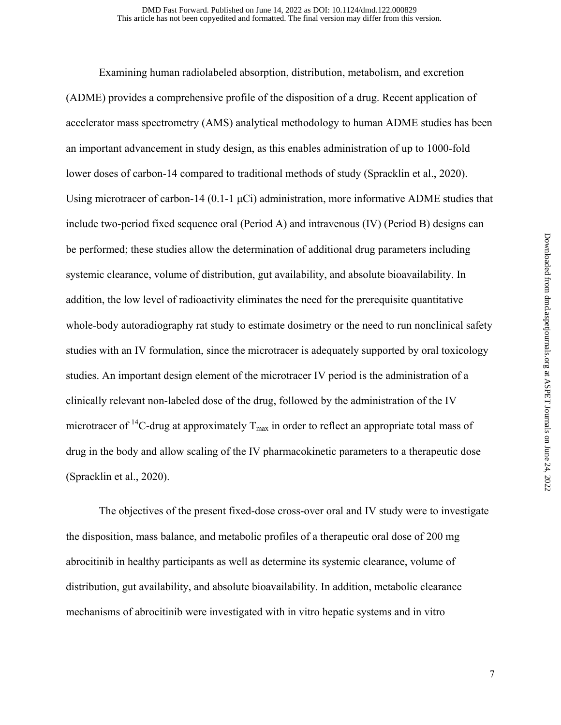Examining human radiolabeled absorption, distribution, metabolism, and excretion (ADME) provides a comprehensive profile of the disposition of a drug. Recent application of accelerator mass spectrometry (AMS) analytical methodology to human ADME studies has been an important advancement in study design, as this enables administration of up to 1000-fold lower doses of carbon-14 compared to traditional methods of study (Spracklin et al., 2020). Using microtracer of carbon-14 (0.1-1  $\mu$ Ci) administration, more informative ADME studies that include two-period fixed sequence oral (Period A) and intravenous (IV) (Period B) designs can be performed; these studies allow the determination of additional drug parameters including systemic clearance, volume of distribution, gut availability, and absolute bioavailability. In addition, the low level of radioactivity eliminates the need for the prerequisite quantitative whole-body autoradiography rat study to estimate dosimetry or the need to run nonclinical safety studies with an IV formulation, since the microtracer is adequately supported by oral toxicology studies. An important design element of the microtracer IV period is the administration of a clinically relevant non-labeled dose of the drug, followed by the administration of the IV microtracer of <sup>14</sup>C-drug at approximately  $T_{\text{max}}$  in order to reflect an appropriate total mass of drug in the body and allow scaling of the IV pharmacokinetic parameters to a therapeutic dose (Spracklin et al., 2020).

 The objectives of the present fixed-dose cross-over oral and IV study were to investigate the disposition, mass balance, and metabolic profiles of a therapeutic oral dose of 200 mg abrocitinib in healthy participants as well as determine its systemic clearance, volume of distribution, gut availability, and absolute bioavailability. In addition, metabolic clearance mechanisms of abrocitinib were investigated with in vitro hepatic systems and in vitro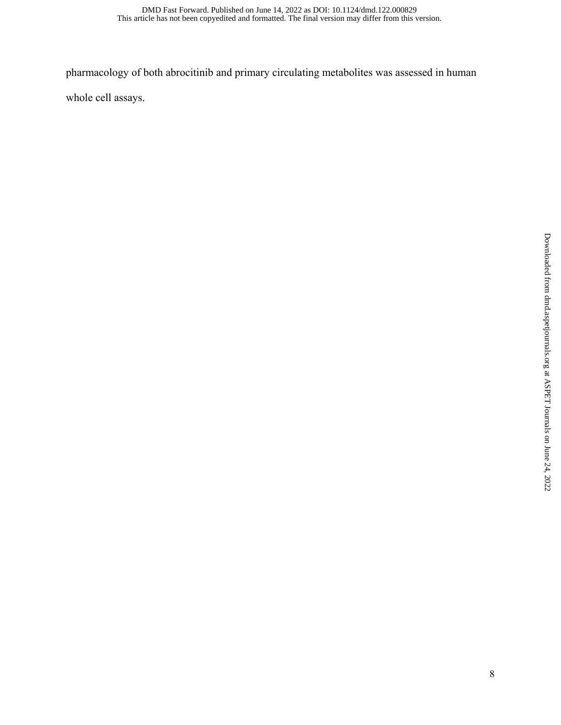pharmacology of both abrocitinib and primary circulating metabolites was assessed in human

whole cell assays.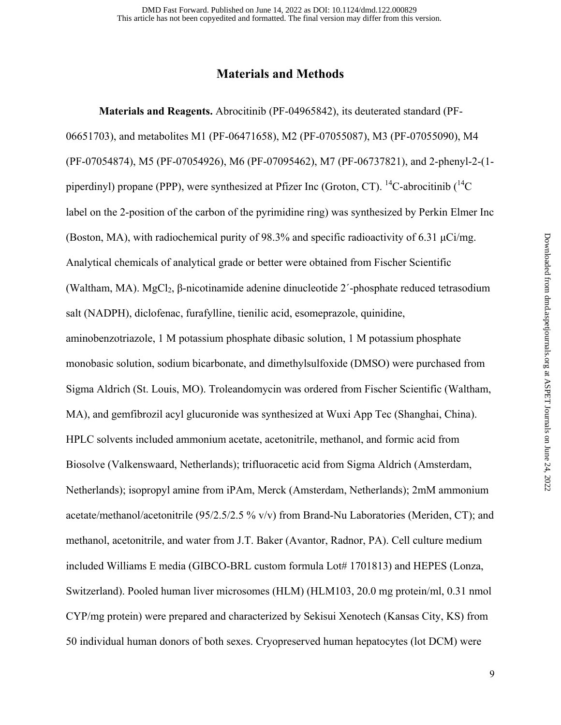## **Materials and Methods**

**Materials and Reagents.** Abrocitinib (PF-04965842), its deuterated standard (PF-06651703), and metabolites M1 (PF-06471658), M2 (PF-07055087), M3 (PF-07055090), M4 (PF-07054874), M5 (PF-07054926), M6 (PF-07095462), M7 (PF-06737821), and 2-phenyl-2-(1 piperdinyl) propane (PPP), were synthesized at Pfizer Inc (Groton, CT). <sup>14</sup>C-abrocitinib ( $^{14}C$ label on the 2-position of the carbon of the pyrimidine ring) was synthesized by Perkin Elmer Inc (Boston, MA), with radiochemical purity of 98.3% and specific radioactivity of 6.31 μCi/mg. Analytical chemicals of analytical grade or better were obtained from Fischer Scientific (Waltham, MA). MgCl<sub>2</sub>, β-nicotinamide adenine dinucleotide 2'-phosphate reduced tetrasodium salt (NADPH), diclofenac, furafylline, tienilic acid, esomeprazole, quinidine, aminobenzotriazole, 1 M potassium phosphate dibasic solution, 1 M potassium phosphate monobasic solution, sodium bicarbonate, and dimethylsulfoxide (DMSO) were purchased from Sigma Aldrich (St. Louis, MO). Troleandomycin was ordered from Fischer Scientific (Waltham, MA), and gemfibrozil acyl glucuronide was synthesized at Wuxi App Tec (Shanghai, China). HPLC solvents included ammonium acetate, acetonitrile, methanol, and formic acid from Biosolve (Valkenswaard, Netherlands); trifluoracetic acid from Sigma Aldrich (Amsterdam, Netherlands); isopropyl amine from iPAm, Merck (Amsterdam, Netherlands); 2mM ammonium acetate/methanol/acetonitrile (95/2.5/2.5 % v/v) from Brand-Nu Laboratories (Meriden, CT); and methanol, acetonitrile, and water from J.T. Baker (Avantor, Radnor, PA). Cell culture medium included Williams E media (GIBCO-BRL custom formula Lot# 1701813) and HEPES (Lonza, Switzerland). Pooled human liver microsomes (HLM) (HLM103, 20.0 mg protein/ml, 0.31 nmol CYP/mg protein) were prepared and characterized by Sekisui Xenotech (Kansas City, KS) from 50 individual human donors of both sexes. Cryopreserved human hepatocytes (lot DCM) were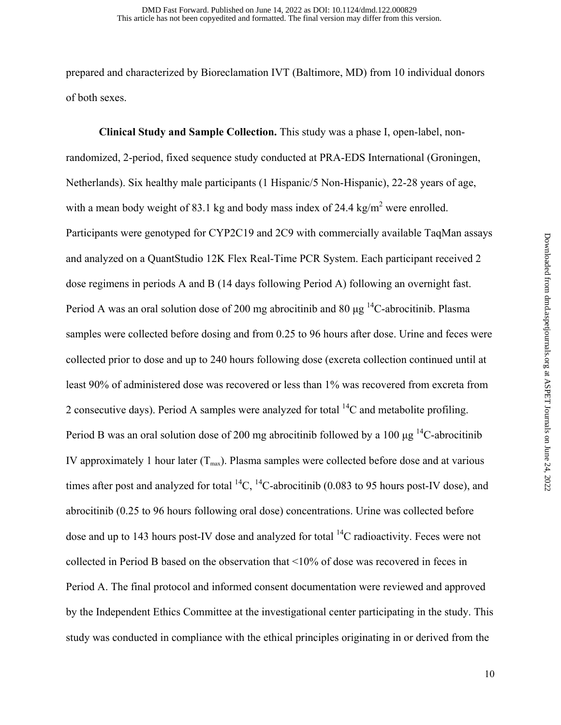prepared and characterized by Bioreclamation IVT (Baltimore, MD) from 10 individual donors of both sexes.

**Clinical Study and Sample Collection.** This study was a phase I, open-label, nonrandomized, 2-period, fixed sequence study conducted at PRA-EDS International (Groningen, Netherlands). Six healthy male participants (1 Hispanic/5 Non-Hispanic), 22-28 years of age, with a mean body weight of 83.1 kg and body mass index of 24.4 kg/m<sup>2</sup> were enrolled. Participants were genotyped for CYP2C19 and 2C9 with commercially available TaqMan assays and analyzed on a QuantStudio 12K Flex Real-Time PCR System. Each participant received 2 dose regimens in periods A and B (14 days following Period A) following an overnight fast. Period A was an oral solution dose of 200 mg abrocitinib and 80  $\mu$ g <sup>14</sup>C-abrocitinib. Plasma samples were collected before dosing and from 0.25 to 96 hours after dose. Urine and feces were collected prior to dose and up to 240 hours following dose (excreta collection continued until at least 90% of administered dose was recovered or less than 1% was recovered from excreta from 2 consecutive days). Period A samples were analyzed for total  $^{14}C$  and metabolite profiling. Period B was an oral solution dose of 200 mg abrocitinib followed by a 100  $\mu$ g <sup>14</sup>C-abrocitinib IV approximately 1 hour later  $(T_{\text{max}})$ . Plasma samples were collected before dose and at various times after post and analyzed for total  ${}^{14}C$ ,  ${}^{14}C$ -abrocitinib (0.083 to 95 hours post-IV dose), and abrocitinib (0.25 to 96 hours following oral dose) concentrations. Urine was collected before dose and up to 143 hours post-IV dose and analyzed for total  $^{14}C$  radioactivity. Feces were not collected in Period B based on the observation that <10% of dose was recovered in feces in Period A. The final protocol and informed consent documentation were reviewed and approved by the Independent Ethics Committee at the investigational center participating in the study. This study was conducted in compliance with the ethical principles originating in or derived from the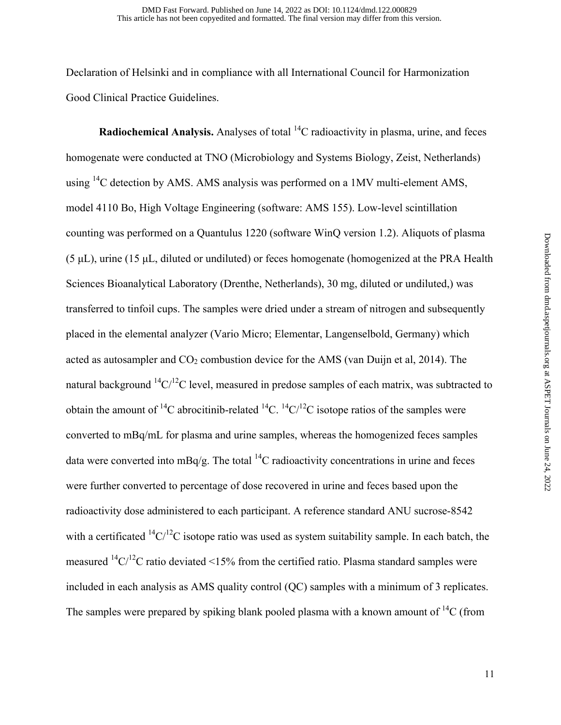Declaration of Helsinki and in compliance with all International Council for Harmonization Good Clinical Practice Guidelines.

**Radiochemical Analysis.** Analyses of total <sup>14</sup>C radioactivity in plasma, urine, and feces homogenate were conducted at TNO (Microbiology and Systems Biology, Zeist, Netherlands) using  $^{14}$ C detection by AMS. AMS analysis was performed on a 1MV multi-element AMS, model 4110 Bo, High Voltage Engineering (software: AMS 155). Low-level scintillation counting was performed on a Quantulus 1220 (software WinQ version 1.2). Aliquots of plasma (5 μL), urine (15 μL, diluted or undiluted) or feces homogenate (homogenized at the PRA Health Sciences Bioanalytical Laboratory (Drenthe, Netherlands), 30 mg, diluted or undiluted,) was transferred to tinfoil cups. The samples were dried under a stream of nitrogen and subsequently placed in the elemental analyzer (Vario Micro; Elementar, Langenselbold, Germany) which acted as autosampler and  $CO<sub>2</sub>$  combustion device for the AMS (van Duijn et al, 2014). The natural background  ${}^{14}C/{}^{12}C$  level, measured in predose samples of each matrix, was subtracted to obtain the amount of <sup>14</sup>C abrocitinib-related <sup>14</sup>C. <sup>14</sup>C/<sup>12</sup>C isotope ratios of the samples were converted to mBq/mL for plasma and urine samples, whereas the homogenized feces samples data were converted into  $mBq/g$ . The total <sup>14</sup>C radioactivity concentrations in urine and feces were further converted to percentage of dose recovered in urine and feces based upon the radioactivity dose administered to each participant. A reference standard ANU sucrose-8542 with a certificated  ${}^{14}C/{}^{12}C$  isotope ratio was used as system suitability sample. In each batch, the measured  $^{14}C^{12}C$  ratio deviated <15% from the certified ratio. Plasma standard samples were included in each analysis as AMS quality control (QC) samples with a minimum of 3 replicates. The samples were prepared by spiking blank pooled plasma with a known amount of  ${}^{14}C$  (from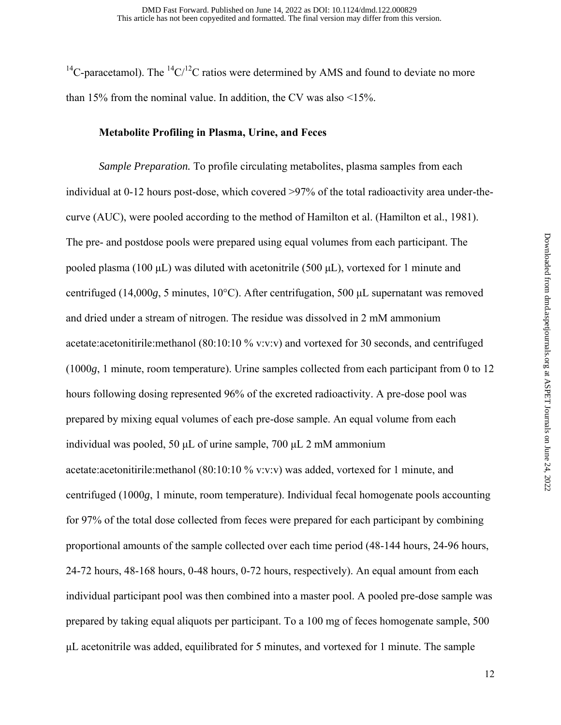<sup>14</sup>C-paracetamol). The <sup>14</sup>C/<sup>12</sup>C ratios were determined by AMS and found to deviate no more than 15% from the nominal value. In addition, the CV was also <15%.

#### **Metabolite Profiling in Plasma, Urine, and Feces**

*Sample Preparation.* To profile circulating metabolites, plasma samples from each individual at 0-12 hours post-dose, which covered >97% of the total radioactivity area under-thecurve (AUC), were pooled according to the method of Hamilton et al. (Hamilton et al., 1981). The pre- and postdose pools were prepared using equal volumes from each participant. The pooled plasma (100  $\mu$ L) was diluted with acetonitrile (500  $\mu$ L), vortexed for 1 minute and centrifuged (14,000*g*, 5 minutes, 10°C). After centrifugation, 500 μL supernatant was removed and dried under a stream of nitrogen. The residue was dissolved in 2 mM ammonium acetate:acetonitirile:methanol (80:10:10 % v:v:v) and vortexed for 30 seconds, and centrifuged (1000*g*, 1 minute, room temperature). Urine samples collected from each participant from 0 to 12 hours following dosing represented 96% of the excreted radioactivity. A pre-dose pool was prepared by mixing equal volumes of each pre-dose sample. An equal volume from each individual was pooled, 50 μL of urine sample, 700 μL 2 mM ammonium acetate:acetonitirile:methanol (80:10:10 % v:v:v) was added, vortexed for 1 minute, and centrifuged (1000*g*, 1 minute, room temperature). Individual fecal homogenate pools accounting for 97% of the total dose collected from feces were prepared for each participant by combining proportional amounts of the sample collected over each time period (48-144 hours, 24-96 hours, 24-72 hours, 48-168 hours, 0-48 hours, 0-72 hours, respectively). An equal amount from each individual participant pool was then combined into a master pool. A pooled pre-dose sample was prepared by taking equal aliquots per participant. To a 100 mg of feces homogenate sample, 500 μL acetonitrile was added, equilibrated for 5 minutes, and vortexed for 1 minute. The sample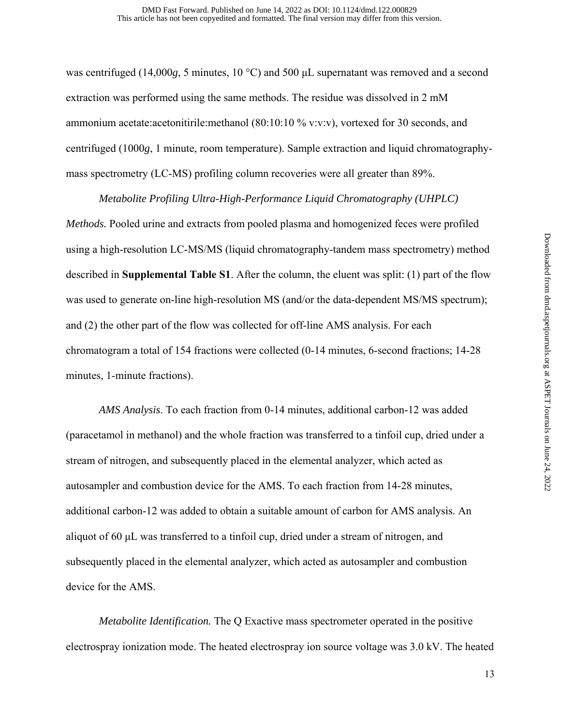was centrifuged (14,000*g*, 5 minutes, 10 °C) and 500 μL supernatant was removed and a second extraction was performed using the same methods. The residue was dissolved in 2 mM ammonium acetate:acetonitirile:methanol (80:10:10 % v:v:v), vortexed for 30 seconds, and centrifuged (1000*g*, 1 minute, room temperature). Sample extraction and liquid chromatographymass spectrometry (LC-MS) profiling column recoveries were all greater than 89%.

 *Metabolite Profiling Ultra-High-Performance Liquid Chromatography (UHPLC) Methods.* Pooled urine and extracts from pooled plasma and homogenized feces were profiled using a high-resolution LC-MS/MS (liquid chromatography-tandem mass spectrometry) method described in **Supplemental Table S1**. After the column, the eluent was split: (1) part of the flow was used to generate on-line high-resolution MS (and/or the data-dependent MS/MS spectrum); and (2) the other part of the flow was collected for off-line AMS analysis. For each chromatogram a total of 154 fractions were collected (0-14 minutes, 6-second fractions; 14-28 minutes, 1-minute fractions).

*AMS Analysis*. To each fraction from 0-14 minutes, additional carbon-12 was added (paracetamol in methanol) and the whole fraction was transferred to a tinfoil cup, dried under a stream of nitrogen, and subsequently placed in the elemental analyzer, which acted as autosampler and combustion device for the AMS. To each fraction from 14-28 minutes, additional carbon-12 was added to obtain a suitable amount of carbon for AMS analysis. An aliquot of 60 μL was transferred to a tinfoil cup, dried under a stream of nitrogen, and subsequently placed in the elemental analyzer, which acted as autosampler and combustion device for the AMS.

 *Metabolite Identification.* The Q Exactive mass spectrometer operated in the positive electrospray ionization mode. The heated electrospray ion source voltage was 3.0 kV. The heated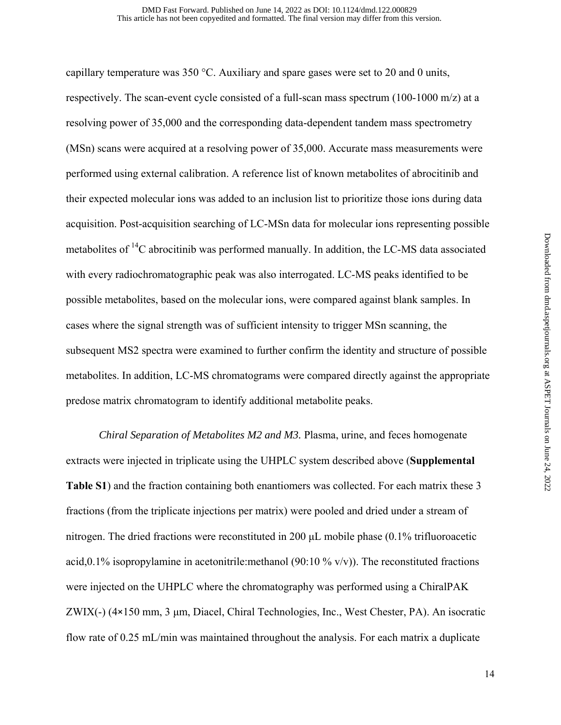capillary temperature was  $350 \degree C$ . Auxiliary and spare gases were set to 20 and 0 units, respectively. The scan-event cycle consisted of a full-scan mass spectrum (100-1000 m/z) at a resolving power of 35,000 and the corresponding data-dependent tandem mass spectrometry (MSn) scans were acquired at a resolving power of 35,000. Accurate mass measurements were performed using external calibration. A reference list of known metabolites of abrocitinib and their expected molecular ions was added to an inclusion list to prioritize those ions during data acquisition. Post-acquisition searching of LC-MSn data for molecular ions representing possible metabolites of  ${}^{14}C$  abrocitinib was performed manually. In addition, the LC-MS data associated with every radiochromatographic peak was also interrogated. LC-MS peaks identified to be possible metabolites, based on the molecular ions, were compared against blank samples. In cases where the signal strength was of sufficient intensity to trigger MSn scanning, the subsequent MS2 spectra were examined to further confirm the identity and structure of possible metabolites. In addition, LC-MS chromatograms were compared directly against the appropriate predose matrix chromatogram to identify additional metabolite peaks.

 *Chiral Separation of Metabolites M2 and M3.* Plasma, urine, and feces homogenate extracts were injected in triplicate using the UHPLC system described above (**Supplemental Table S1**) and the fraction containing both enantiomers was collected. For each matrix these 3 fractions (from the triplicate injections per matrix) were pooled and dried under a stream of nitrogen. The dried fractions were reconstituted in 200 μL mobile phase (0.1% trifluoroacetic acid,0.1% isopropylamine in acetonitrile:methanol (90:10 % v/v)). The reconstituted fractions were injected on the UHPLC where the chromatography was performed using a ChiralPAK ZWIX(-) (4×150 mm, 3 μm, Diacel, Chiral Technologies, Inc., West Chester, PA). An isocratic flow rate of 0.25 mL/min was maintained throughout the analysis. For each matrix a duplicate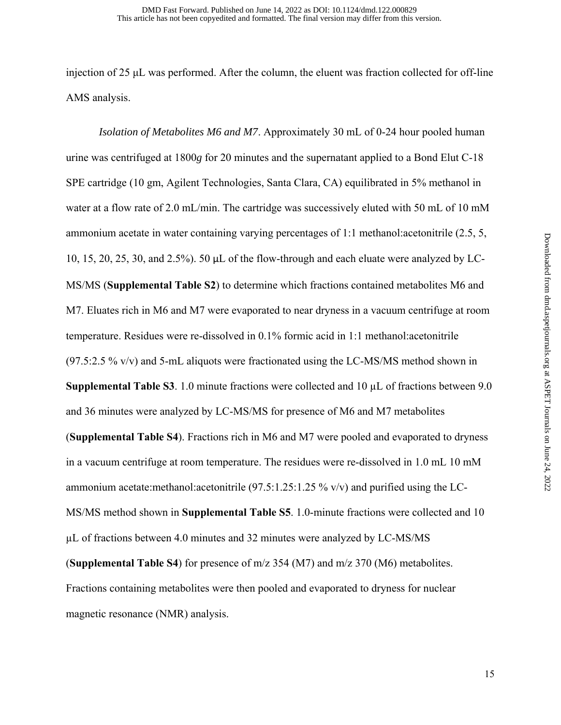injection of 25 μL was performed. After the column, the eluent was fraction collected for off-line AMS analysis.

 *Isolation of Metabolites M6 and M7*. Approximately 30 mL of 0-24 hour pooled human urine was centrifuged at 1800*g* for 20 minutes and the supernatant applied to a Bond Elut C-18 SPE cartridge (10 gm, Agilent Technologies, Santa Clara, CA) equilibrated in 5% methanol in water at a flow rate of 2.0 mL/min. The cartridge was successively eluted with 50 mL of 10 mM ammonium acetate in water containing varying percentages of 1:1 methanol:acetonitrile (2.5, 5, 10, 15, 20, 25, 30, and 2.5%). 50 μL of the flow-through and each eluate were analyzed by LC-MS/MS (**Supplemental Table S2**) to determine which fractions contained metabolites M6 and M7. Eluates rich in M6 and M7 were evaporated to near dryness in a vacuum centrifuge at room temperature. Residues were re-dissolved in 0.1% formic acid in 1:1 methanol:acetonitrile  $(97.5:2.5\%$  v/v) and 5-mL aliquots were fractionated using the LC-MS/MS method shown in **Supplemental Table S3**. 1.0 minute fractions were collected and 10 µL of fractions between 9.0 and 36 minutes were analyzed by LC-MS/MS for presence of M6 and M7 metabolites (**Supplemental Table S4**). Fractions rich in M6 and M7 were pooled and evaporated to dryness in a vacuum centrifuge at room temperature. The residues were re-dissolved in 1.0 mL 10 mM ammonium acetate:methanol:acetonitrile  $(97.5:1.25:1.25\%$  v/v) and purified using the LC-MS/MS method shown in **Supplemental Table S5**. 1.0-minute fractions were collected and 10 µL of fractions between 4.0 minutes and 32 minutes were analyzed by LC-MS/MS (**Supplemental Table S4**) for presence of m/z 354 (M7) and m/z 370 (M6) metabolites. Fractions containing metabolites were then pooled and evaporated to dryness for nuclear magnetic resonance (NMR) analysis.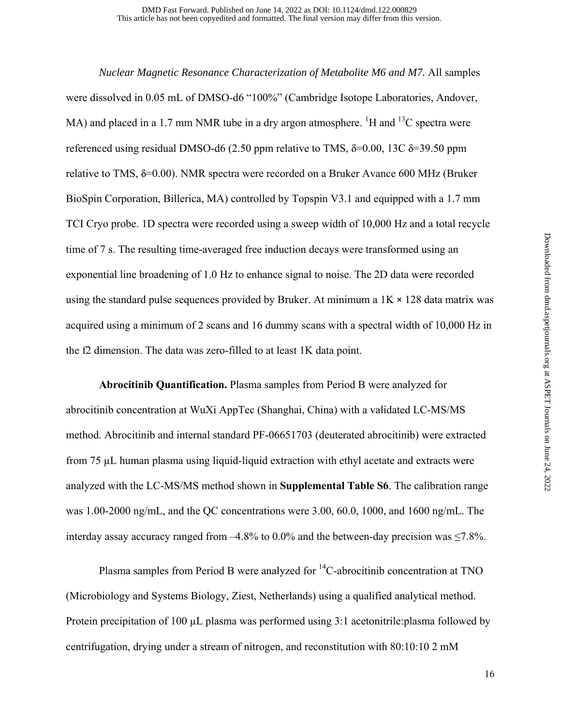*Nuclear Magnetic Resonance Characterization of Metabolite M6 and M7.* All samples were dissolved in 0.05 mL of DMSO-d6 "100%" (Cambridge Isotope Laboratories, Andover, MA) and placed in a 1.7 mm NMR tube in a dry argon atmosphere. <sup>1</sup>H and <sup>13</sup>C spectra were referenced using residual DMSO-d6 (2.50 ppm relative to TMS,  $\delta$ =0.00, 13C  $\delta$ =39.50 ppm relative to TMS,  $\delta$ =0.00). NMR spectra were recorded on a Bruker Avance 600 MHz (Bruker BioSpin Corporation, Billerica, MA) controlled by Topspin V3.1 and equipped with a 1.7 mm TCI Cryo probe. 1D spectra were recorded using a sweep width of 10,000 Hz and a total recycle time of 7 s. The resulting time-averaged free induction decays were transformed using an exponential line broadening of 1.0 Hz to enhance signal to noise. The 2D data were recorded using the standard pulse sequences provided by Bruker. At minimum a  $1K \times 128$  data matrix was acquired using a minimum of 2 scans and 16 dummy scans with a spectral width of 10,000 Hz in the f2 dimension. The data was zero-filled to at least 1K data point.

 **Abrocitinib Quantification.** Plasma samples from Period B were analyzed for abrocitinib concentration at WuXi AppTec (Shanghai, China) with a validated LC-MS/MS method. Abrocitinib and internal standard PF-06651703 (deuterated abrocitinib) were extracted from 75 µL human plasma using liquid-liquid extraction with ethyl acetate and extracts were analyzed with the LC-MS/MS method shown in **Supplemental Table S6**. The calibration range was 1.00-2000 ng/mL, and the QC concentrations were 3.00, 60.0, 1000, and 1600 ng/mL. The interday assay accuracy ranged from  $-4.8\%$  to 0.0% and the between-day precision was  $\leq 7.8\%$ .

Plasma samples from Period B were analyzed for <sup>14</sup>C-abrocitinib concentration at TNO (Microbiology and Systems Biology, Ziest, Netherlands) using a qualified analytical method. Protein precipitation of 100 µL plasma was performed using 3:1 acetonitrile: plasma followed by centrifugation, drying under a stream of nitrogen, and reconstitution with 80:10:10 2 mM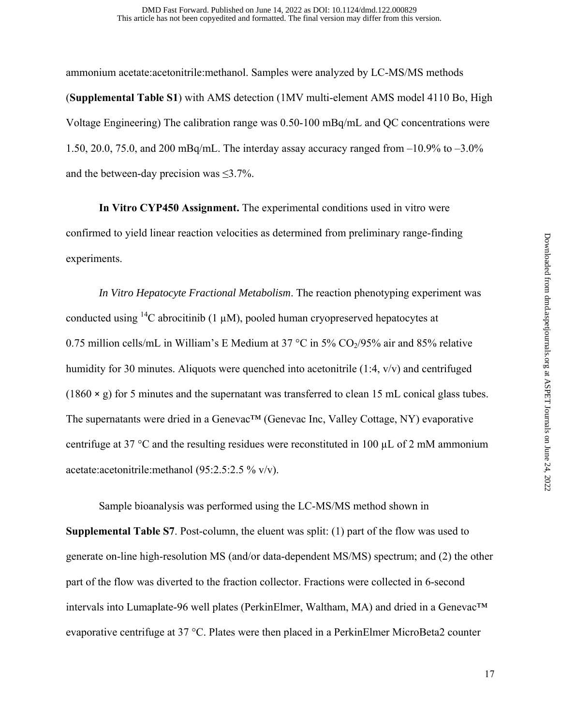ammonium acetate:acetonitrile:methanol. Samples were analyzed by LC-MS/MS methods (**Supplemental Table S1**) with AMS detection (1MV multi-element AMS model 4110 Bo, High Voltage Engineering) The calibration range was 0.50-100 mBq/mL and QC concentrations were 1.50, 20.0, 75.0, and 200 mBq/mL. The interday assay accuracy ranged from  $-10.9\%$  to  $-3.0\%$ and the between-day precision was  $\leq 3.7\%$ .

**In Vitro CYP450 Assignment.** The experimental conditions used in vitro were confirmed to yield linear reaction velocities as determined from preliminary range-finding experiments.

 *In Vitro Hepatocyte Fractional Metabolism*. The reaction phenotyping experiment was conducted using <sup>14</sup>C abrocitinib (1  $\mu$ M), pooled human cryopreserved hepatocytes at 0.75 million cells/mL in William's E Medium at 37 °C in 5%  $CO<sub>2</sub>/95%$  air and 85% relative humidity for 30 minutes. Aliquots were quenched into acetonitrile (1:4, v/v) and centrifuged  $(1860 \times g)$  for 5 minutes and the supernatant was transferred to clean 15 mL conical glass tubes. The supernatants were dried in a Genevac™ (Genevac Inc, Valley Cottage, NY) evaporative centrifuge at 37 °C and the resulting residues were reconstituted in 100  $\mu$ L of 2 mM ammonium acetate:acetonitrile:methanol (95:2.5:2.5 % v/v).

Sample bioanalysis was performed using the LC-MS/MS method shown in **Supplemental Table S7**. Post-column, the eluent was split: (1) part of the flow was used to generate on-line high-resolution MS (and/or data-dependent MS/MS) spectrum; and (2) the other part of the flow was diverted to the fraction collector. Fractions were collected in 6-second intervals into Lumaplate-96 well plates (PerkinElmer, Waltham, MA) and dried in a Genevac™ evaporative centrifuge at 37 °C. Plates were then placed in a PerkinElmer MicroBeta2 counter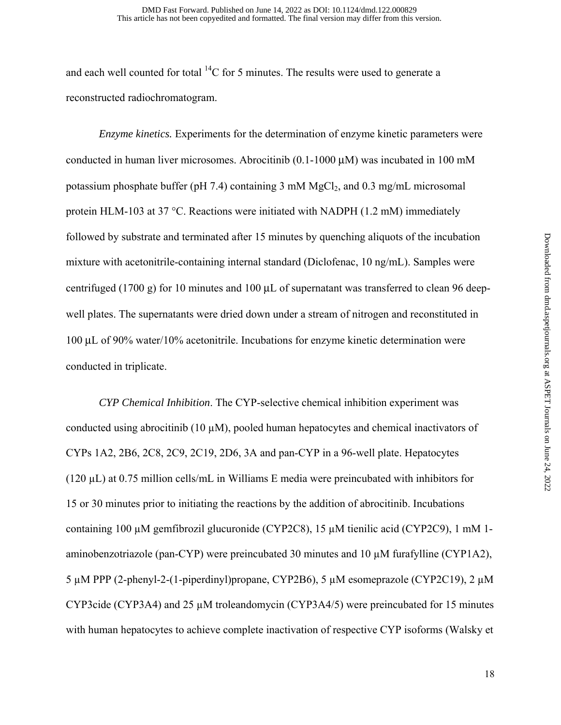and each well counted for total  ${}^{14}C$  for 5 minutes. The results were used to generate a reconstructed radiochromatogram.

 *Enzyme kinetics.* Experiments for the determination of enzyme kinetic parameters were conducted in human liver microsomes. Abrocitinib (0.1-1000 μM) was incubated in 100 mM potassium phosphate buffer (pH 7.4) containing  $3 \text{ mM } MgCl<sub>2</sub>$ , and  $0.3 \text{ mg/mL}$  microsomal protein HLM-103 at 37 °C. Reactions were initiated with NADPH (1.2 mM) immediately followed by substrate and terminated after 15 minutes by quenching aliquots of the incubation mixture with acetonitrile-containing internal standard (Diclofenac, 10 ng/mL). Samples were centrifuged (1700 g) for 10 minutes and 100 μL of supernatant was transferred to clean 96 deepwell plates. The supernatants were dried down under a stream of nitrogen and reconstituted in 100 μL of 90% water/10% acetonitrile. Incubations for enzyme kinetic determination were conducted in triplicate.

 *CYP Chemical Inhibition*. The CYP-selective chemical inhibition experiment was conducted using abrocitinib (10  $\mu$ M), pooled human hepatocytes and chemical inactivators of CYPs 1A2, 2B6, 2C8, 2C9, 2C19, 2D6, 3A and pan-CYP in a 96-well plate. Hepatocytes (120  $\mu$ L) at 0.75 million cells/mL in Williams E media were preincubated with inhibitors for 15 or 30 minutes prior to initiating the reactions by the addition of abrocitinib. Incubations containing 100 µM gemfibrozil glucuronide (CYP2C8), 15 µM tienilic acid (CYP2C9), 1 mM 1 aminobenzotriazole (pan-CYP) were preincubated 30 minutes and 10 µM furafylline (CYP1A2), 5  $\mu$ M PPP (2-phenyl-2-(1-piperdinyl)propane, CYP2B6), 5  $\mu$ M esomeprazole (CYP2C19), 2  $\mu$ M CYP3cide (CYP3A4) and 25  $\mu$ M troleandomycin (CYP3A4/5) were preincubated for 15 minutes with human hepatocytes to achieve complete inactivation of respective CYP isoforms (Walsky et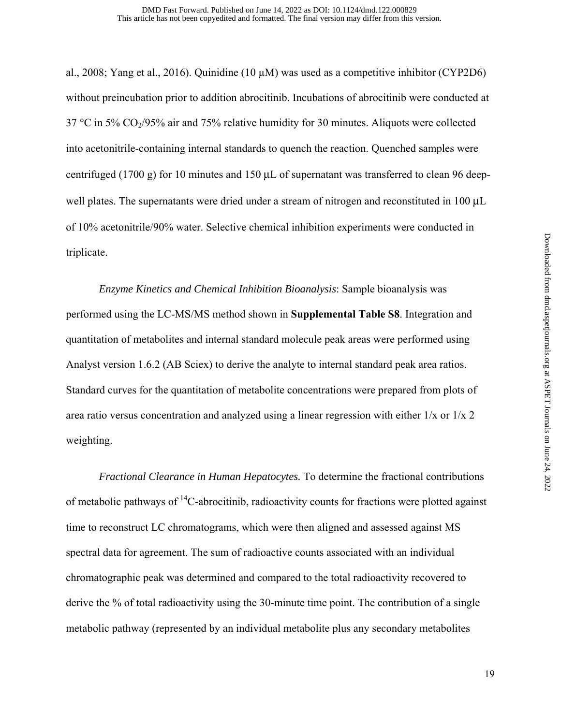al., 2008; Yang et al., 2016). Quinidine  $(10 \mu M)$  was used as a competitive inhibitor (CYP2D6) without preincubation prior to addition abrocitinib. Incubations of abrocitinib were conducted at 37 °C in 5% CO $_2$ /95% air and 75% relative humidity for 30 minutes. Aliquots were collected into acetonitrile-containing internal standards to quench the reaction. Quenched samples were centrifuged (1700 g) for 10 minutes and 150 μL of supernatant was transferred to clean 96 deepwell plates. The supernatants were dried under a stream of nitrogen and reconstituted in 100 μL of 10% acetonitrile/90% water. Selective chemical inhibition experiments were conducted in triplicate.

 *Enzyme Kinetics and Chemical Inhibition Bioanalysis*: Sample bioanalysis was performed using the LC-MS/MS method shown in **Supplemental Table S8**. Integration and quantitation of metabolites and internal standard molecule peak areas were performed using Analyst version 1.6.2 (AB Sciex) to derive the analyte to internal standard peak area ratios. Standard curves for the quantitation of metabolite concentrations were prepared from plots of area ratio versus concentration and analyzed using a linear regression with either  $1/x$  or  $1/x$  2 weighting.

*Fractional Clearance in Human Hepatocytes.* To determine the fractional contributions of metabolic pathways of  $^{14}$ C-abrocitinib, radioactivity counts for fractions were plotted against time to reconstruct LC chromatograms, which were then aligned and assessed against MS spectral data for agreement. The sum of radioactive counts associated with an individual chromatographic peak was determined and compared to the total radioactivity recovered to derive the % of total radioactivity using the 30-minute time point. The contribution of a single metabolic pathway (represented by an individual metabolite plus any secondary metabolites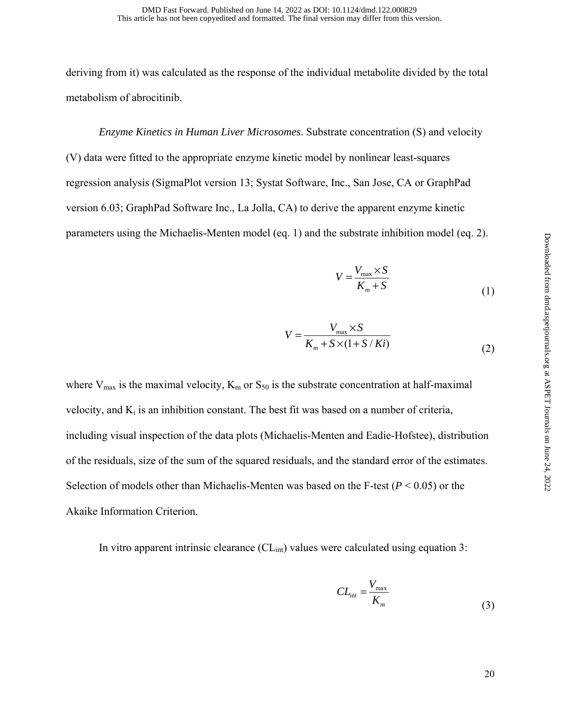deriving from it) was calculated as the response of the individual metabolite divided by the total metabolism of abrocitinib.

*Enzyme Kinetics in Human Liver Microsomes*. Substrate concentration (S) and velocity (V) data were fitted to the appropriate enzyme kinetic model by nonlinear least-squares regression analysis (SigmaPlot version 13; Systat Software, Inc., San Jose, CA or GraphPad version 6.03; GraphPad Software Inc., La Jolla, CA) to derive the apparent enzyme kinetic parameters using the Michaelis-Menten model (eq. 1) and the substrate inhibition model (eq. 2).

$$
V = \frac{V_{\text{max}} \times S}{K_m + S}
$$
 (1)

$$
V = \frac{V_{\text{max}} \times S}{K_m + S \times (1 + S / Ki)}
$$
 (2)

where  $V_{\text{max}}$  is the maximal velocity,  $K_{\text{m}}$  or  $S_{50}$  is the substrate concentration at half-maximal velocity, and  $K_i$  is an inhibition constant. The best fit was based on a number of criteria, including visual inspection of the data plots (Michaelis-Menten and Eadie-Hofstee), distribution of the residuals, size of the sum of the squared residuals, and the standard error of the estimates. Selection of models other than Michaelis-Menten was based on the F-test  $(P < 0.05)$  or the Akaike Information Criterion.

In vitro apparent intrinsic clearance  $CL<sub>int</sub>$  values were calculated using equation 3:

$$
CL_{\text{int}} = \frac{V_{\text{max}}}{K_m} \tag{3}
$$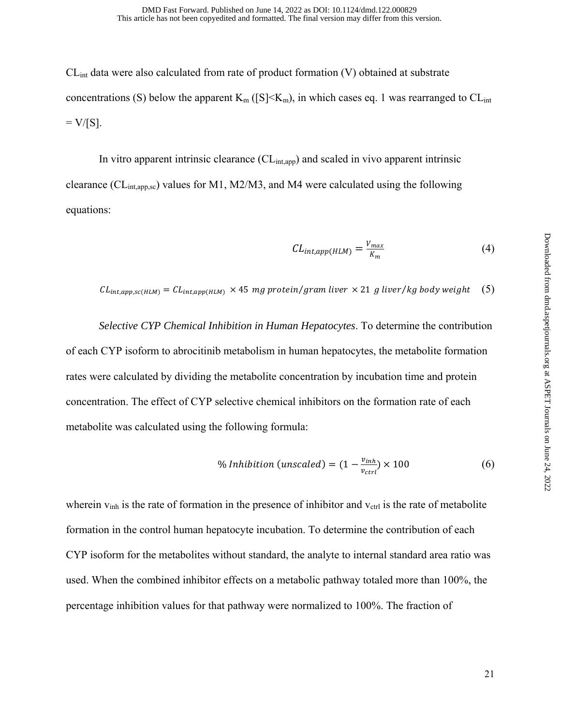$CL<sub>int</sub>$  data were also calculated from rate of product formation (V) obtained at substrate concentrations (S) below the apparent  $K_m$  ([S] $\leq K_m$ ), in which cases eq. 1 was rearranged to  $CL_{int}$  $=$  V/[S].

In vitro apparent intrinsic clearance  $CL_{int,app}$ ) and scaled in vivo apparent intrinsic clearance (CLint,app,sc) values for M1, M2/M3, and M4 were calculated using the following equations:

$$
CL_{int,app(HLM)} = \frac{V_{max}}{K_m}
$$
 (4)

 $CL_{int,app,sc(HLM)} = CL_{int,app(HLM)} \times 45$  mg protein/gram liver  $\times$  21 g liver/kg body weight (5)

 *Selective CYP Chemical Inhibition in Human Hepatocytes*. To determine the contribution of each CYP isoform to abrocitinib metabolism in human hepatocytes, the metabolite formation rates were calculated by dividing the metabolite concentration by incubation time and protein concentration. The effect of CYP selective chemical inhibitors on the formation rate of each metabolite was calculated using the following formula:

$$
\% Inhibition (unscaled) = (1 - \frac{v_{inh}}{v_{ctrl}}) \times 100 \tag{6}
$$

wherein  $v_{\text{inh}}$  is the rate of formation in the presence of inhibitor and  $v_{\text{ctrl}}$  is the rate of metabolite formation in the control human hepatocyte incubation. To determine the contribution of each CYP isoform for the metabolites without standard, the analyte to internal standard area ratio was used. When the combined inhibitor effects on a metabolic pathway totaled more than 100%, the percentage inhibition values for that pathway were normalized to 100%. The fraction of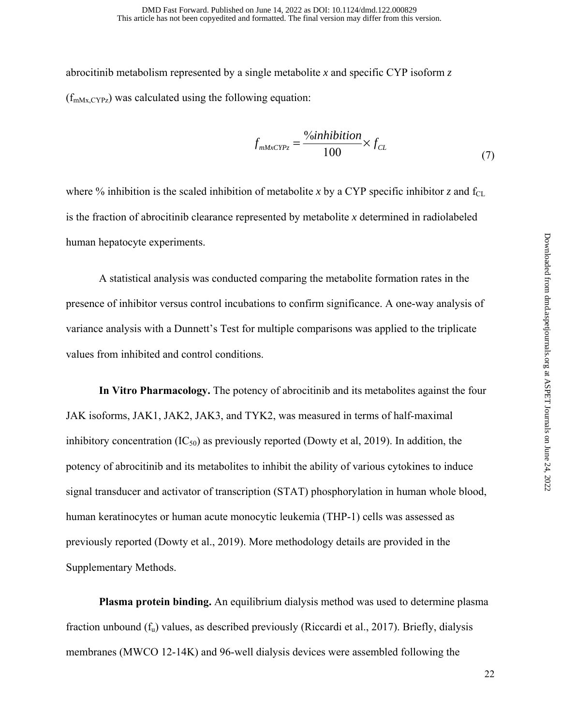abrocitinib metabolism represented by a single metabolite *x* and specific CYP isoform *z*  $(f<sub>mMx,CYPz</sub>)$  was calculated using the following equation:

$$
f_{\text{mMaxCYPz}} = \frac{\%inhibition}{100} \times f_{CL}
$$
 (7)

where % inhibition is the scaled inhibition of metabolite *x* by a CYP specific inhibitor *z* and f<sub>CL</sub> is the fraction of abrocitinib clearance represented by metabolite *x* determined in radiolabeled human hepatocyte experiments.

 A statistical analysis was conducted comparing the metabolite formation rates in the presence of inhibitor versus control incubations to confirm significance. A one-way analysis of variance analysis with a Dunnett's Test for multiple comparisons was applied to the triplicate values from inhibited and control conditions.

 **In Vitro Pharmacology.** The potency of abrocitinib and its metabolites against the four JAK isoforms, JAK1, JAK2, JAK3, and TYK2, was measured in terms of half‐maximal inhibitory concentration  $(IC_{50})$  as previously reported (Dowty et al, 2019). In addition, the potency of abrocitinib and its metabolites to inhibit the ability of various cytokines to induce signal transducer and activator of transcription (STAT) phosphorylation in human whole blood, human keratinocytes or human acute monocytic leukemia (THP-1) cells was assessed as previously reported (Dowty et al., 2019). More methodology details are provided in the Supplementary Methods.

**Plasma protein binding.** An equilibrium dialysis method was used to determine plasma fraction unbound  $(f_u)$  values, as described previously (Riccardi et al., 2017). Briefly, dialysis membranes (MWCO 12-14K) and 96-well dialysis devices were assembled following the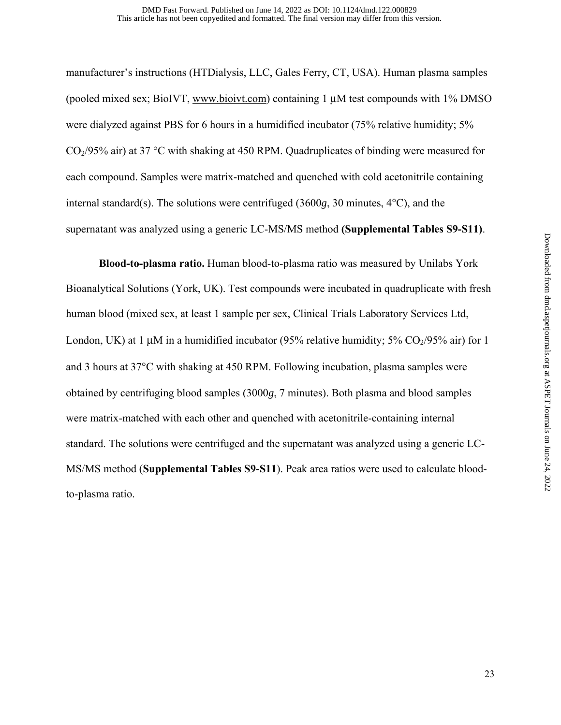manufacturer's instructions (HTDialysis, LLC, Gales Ferry, CT, USA). Human plasma samples (pooled mixed sex; BioIVT, www.bioivt.com) containing 1 μM test compounds with 1% DMSO were dialyzed against PBS for 6 hours in a humidified incubator (75% relative humidity; 5%  $CO<sub>2</sub>/95%$  air) at 37 °C with shaking at 450 RPM. Quadruplicates of binding were measured for each compound. Samples were matrix-matched and quenched with cold acetonitrile containing internal standard(s). The solutions were centrifuged (3600*g*, 30 minutes, 4°C), and the supernatant was analyzed using a generic LC-MS/MS method **(Supplemental Tables S9-S11)**.

**Blood-to-plasma ratio.** Human blood-to-plasma ratio was measured by Unilabs York Bioanalytical Solutions (York, UK). Test compounds were incubated in quadruplicate with fresh human blood (mixed sex, at least 1 sample per sex, Clinical Trials Laboratory Services Ltd, London, UK) at 1  $\mu$ M in a humidified incubator (95% relative humidity; 5% CO<sub>2</sub>/95% air) for 1 and 3 hours at 37°C with shaking at 450 RPM. Following incubation, plasma samples were obtained by centrifuging blood samples (3000*g*, 7 minutes). Both plasma and blood samples were matrix-matched with each other and quenched with acetonitrile-containing internal standard. The solutions were centrifuged and the supernatant was analyzed using a generic LC-MS/MS method (**Supplemental Tables S9-S11**). Peak area ratios were used to calculate bloodto-plasma ratio.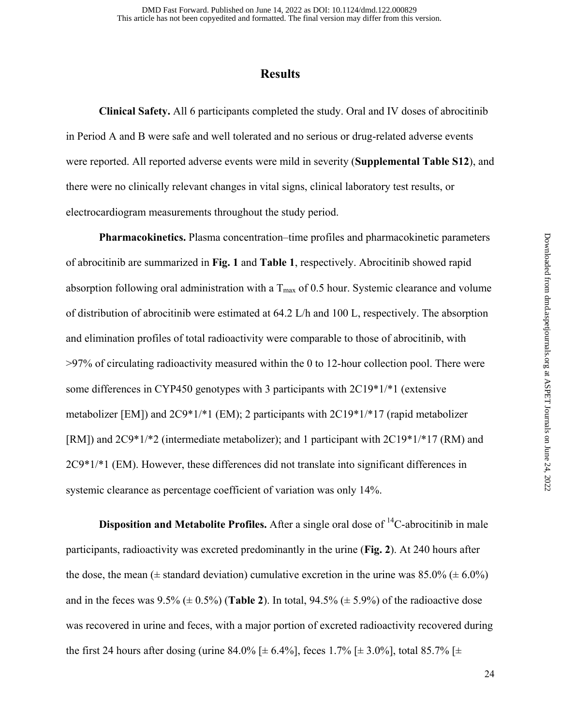### **Results**

 **Clinical Safety.** All 6 participants completed the study. Oral and IV doses of abrocitinib in Period A and B were safe and well tolerated and no serious or drug-related adverse events were reported. All reported adverse events were mild in severity (**Supplemental Table S12**), and there were no clinically relevant changes in vital signs, clinical laboratory test results, or electrocardiogram measurements throughout the study period.

**Pharmacokinetics.** Plasma concentration–time profiles and pharmacokinetic parameters of abrocitinib are summarized in **Fig. 1** and **Table 1**, respectively. Abrocitinib showed rapid absorption following oral administration with a  $T_{\text{max}}$  of 0.5 hour. Systemic clearance and volume of distribution of abrocitinib were estimated at 64.2 L/h and 100 L, respectively. The absorption and elimination profiles of total radioactivity were comparable to those of abrocitinib, with >97% of circulating radioactivity measured within the 0 to 12-hour collection pool. There were some differences in CYP450 genotypes with 3 participants with 2C19\*1/\*1 (extensive metabolizer [EM]) and 2C9\*1/\*1 (EM); 2 participants with 2C19\*1/\*17 (rapid metabolizer [RM]) and 2C9\*1/\*2 (intermediate metabolizer); and 1 participant with 2C19\*1/\*17 (RM) and 2C9\*1/\*1 (EM). However, these differences did not translate into significant differences in systemic clearance as percentage coefficient of variation was only 14%.

**Disposition and Metabolite Profiles.** After a single oral dose of <sup>14</sup>C-abrocitinib in male participants, radioactivity was excreted predominantly in the urine (**Fig. 2**). At 240 hours after the dose, the mean ( $\pm$  standard deviation) cumulative excretion in the urine was 85.0% ( $\pm$  6.0%) and in the feces was  $9.5\%$  ( $\pm$  0.5%) (**Table 2**). In total,  $94.5\%$  ( $\pm$  5.9%) of the radioactive dose was recovered in urine and feces, with a major portion of excreted radioactivity recovered during the first 24 hours after dosing (urine 84.0% [ $\pm$  6.4%], feces 1.7% [ $\pm$  3.0%], total 85.7% [ $\pm$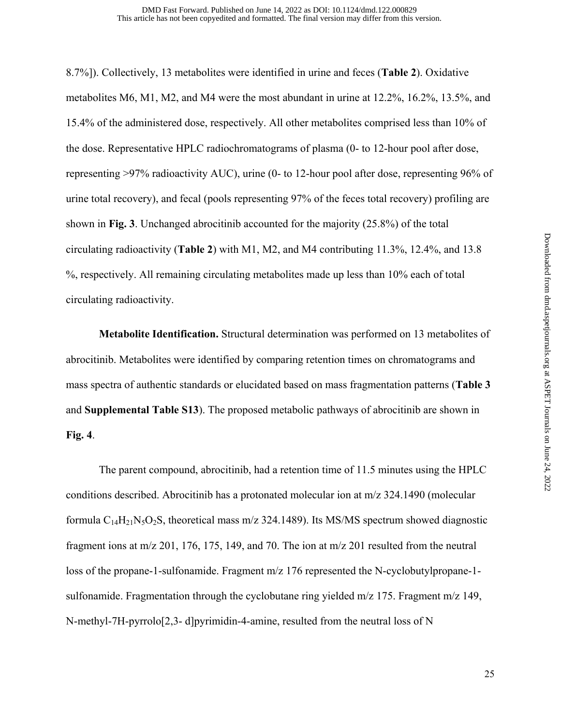8.7%]). Collectively, 13 metabolites were identified in urine and feces (**Table 2**). Oxidative metabolites M6, M1, M2, and M4 were the most abundant in urine at 12.2%, 16.2%, 13.5%, and 15.4% of the administered dose, respectively. All other metabolites comprised less than 10% of the dose. Representative HPLC radiochromatograms of plasma (0- to 12-hour pool after dose, representing >97% radioactivity AUC), urine (0- to 12-hour pool after dose, representing 96% of urine total recovery), and fecal (pools representing 97% of the feces total recovery) profiling are shown in **Fig. 3**. Unchanged abrocitinib accounted for the majority (25.8%) of the total circulating radioactivity (**Table 2**) with M1, M2, and M4 contributing 11.3%, 12.4%, and 13.8 %, respectively. All remaining circulating metabolites made up less than 10% each of total circulating radioactivity.

 **Metabolite Identification.** Structural determination was performed on 13 metabolites of abrocitinib. Metabolites were identified by comparing retention times on chromatograms and mass spectra of authentic standards or elucidated based on mass fragmentation patterns (**Table 3** and **Supplemental Table S13**). The proposed metabolic pathways of abrocitinib are shown in **Fig. 4**.

 The parent compound, abrocitinib, had a retention time of 11.5 minutes using the HPLC conditions described. Abrocitinib has a protonated molecular ion at m/z 324.1490 (molecular formula  $C_{14}H_{21}N_5O_2S$ , theoretical mass m/z 324.1489). Its MS/MS spectrum showed diagnostic fragment ions at m/z 201, 176, 175, 149, and 70. The ion at m/z 201 resulted from the neutral loss of the propane-1-sulfonamide. Fragment m/z 176 represented the N-cyclobutylpropane-1 sulfonamide. Fragmentation through the cyclobutane ring yielded m/z 175. Fragment m/z 149, N-methyl-7H-pyrrolo[2,3- d]pyrimidin-4-amine, resulted from the neutral loss of N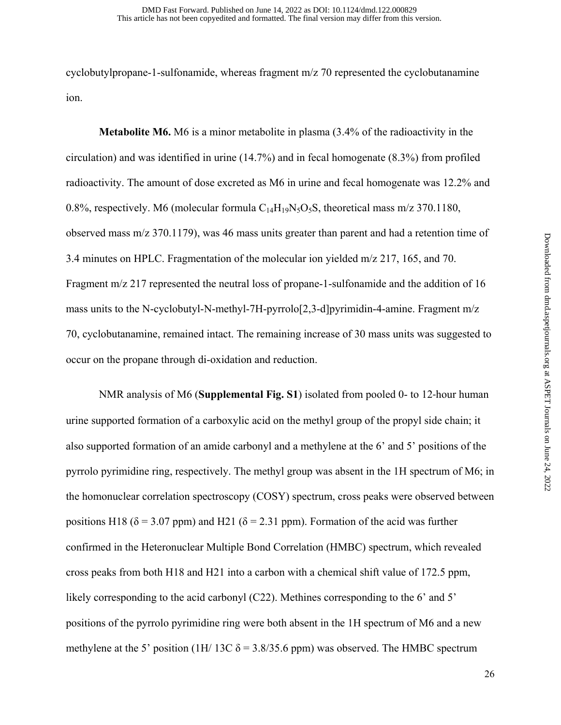cyclobutylpropane-1-sulfonamide, whereas fragment m/z 70 represented the cyclobutanamine ion.

 **Metabolite M6.** M6 is a minor metabolite in plasma (3.4% of the radioactivity in the circulation) and was identified in urine (14.7%) and in fecal homogenate (8.3%) from profiled radioactivity. The amount of dose excreted as M6 in urine and fecal homogenate was 12.2% and 0.8%, respectively. M6 (molecular formula  $C_{14}H_{19}N_5O_5S$ , theoretical mass m/z 370.1180, observed mass m/z 370.1179), was 46 mass units greater than parent and had a retention time of 3.4 minutes on HPLC. Fragmentation of the molecular ion yielded m/z 217, 165, and 70. Fragment m/z 217 represented the neutral loss of propane-1-sulfonamide and the addition of 16 mass units to the N-cyclobutyl-N-methyl-7H-pyrrolo[2,3-d]pyrimidin-4-amine. Fragment m/z 70, cyclobutanamine, remained intact. The remaining increase of 30 mass units was suggested to occur on the propane through di-oxidation and reduction.

 NMR analysis of M6 (**Supplemental Fig. S1**) isolated from pooled 0- to 12-hour human urine supported formation of a carboxylic acid on the methyl group of the propyl side chain; it also supported formation of an amide carbonyl and a methylene at the 6' and 5' positions of the pyrrolo pyrimidine ring, respectively. The methyl group was absent in the 1H spectrum of M6; in the homonuclear correlation spectroscopy (COSY) spectrum, cross peaks were observed between positions H18 ( $\delta$  = 3.07 ppm) and H21 ( $\delta$  = 2.31 ppm). Formation of the acid was further confirmed in the Heteronuclear Multiple Bond Correlation (HMBC) spectrum, which revealed cross peaks from both H18 and H21 into a carbon with a chemical shift value of 172.5 ppm, likely corresponding to the acid carbonyl (C22). Methines corresponding to the 6' and 5' positions of the pyrrolo pyrimidine ring were both absent in the 1H spectrum of M6 and a new methylene at the 5' position (1H/ 13C  $\delta$  = 3.8/35.6 ppm) was observed. The HMBC spectrum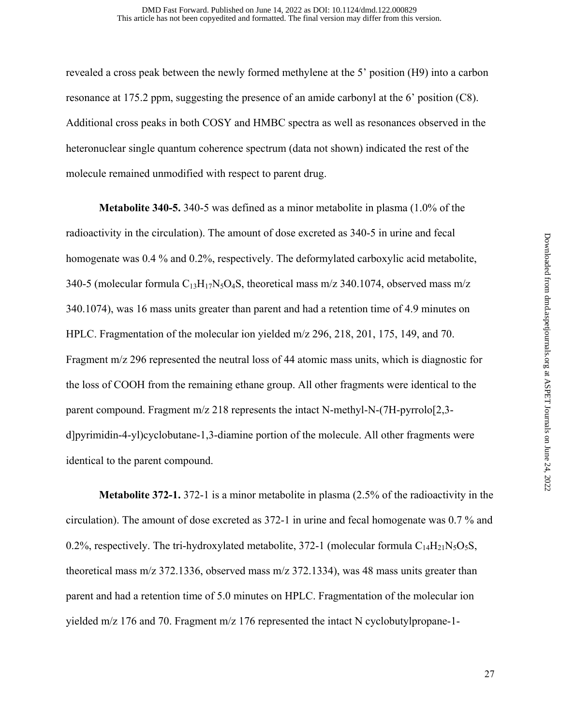revealed a cross peak between the newly formed methylene at the 5' position (H9) into a carbon resonance at 175.2 ppm, suggesting the presence of an amide carbonyl at the 6' position (C8). Additional cross peaks in both COSY and HMBC spectra as well as resonances observed in the heteronuclear single quantum coherence spectrum (data not shown) indicated the rest of the molecule remained unmodified with respect to parent drug.

 **Metabolite 340-5.** 340-5 was defined as a minor metabolite in plasma (1.0% of the radioactivity in the circulation). The amount of dose excreted as 340-5 in urine and fecal homogenate was 0.4 % and 0.2%, respectively. The deformylated carboxylic acid metabolite, 340-5 (molecular formula  $C_{13}H_{17}N_5O_4S$ , theoretical mass m/z 340.1074, observed mass m/z 340.1074), was 16 mass units greater than parent and had a retention time of 4.9 minutes on HPLC. Fragmentation of the molecular ion yielded m/z 296, 218, 201, 175, 149, and 70. Fragment m/z 296 represented the neutral loss of 44 atomic mass units, which is diagnostic for the loss of COOH from the remaining ethane group. All other fragments were identical to the parent compound. Fragment m/z 218 represents the intact N-methyl-N-(7H-pyrrolo[2,3 d]pyrimidin-4-yl)cyclobutane-1,3-diamine portion of the molecule. All other fragments were identical to the parent compound.

 **Metabolite 372-1.** 372-1 is a minor metabolite in plasma (2.5% of the radioactivity in the circulation). The amount of dose excreted as 372-1 in urine and fecal homogenate was 0.7 % and 0.2%, respectively. The tri-hydroxylated metabolite, 372-1 (molecular formula  $C_{14}H_{21}N_5O_5S$ , theoretical mass m/z 372.1336, observed mass m/z 372.1334), was 48 mass units greater than parent and had a retention time of 5.0 minutes on HPLC. Fragmentation of the molecular ion yielded m/z 176 and 70. Fragment m/z 176 represented the intact N cyclobutylpropane-1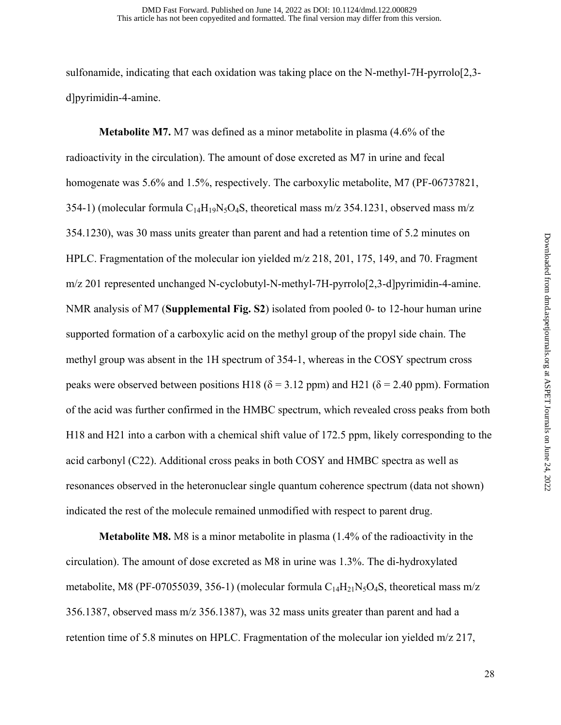sulfonamide, indicating that each oxidation was taking place on the N-methyl-7H-pyrrolo[2,3 d]pyrimidin-4-amine.

 **Metabolite M7.** M7 was defined as a minor metabolite in plasma (4.6% of the radioactivity in the circulation). The amount of dose excreted as M7 in urine and fecal homogenate was 5.6% and 1.5%, respectively. The carboxylic metabolite, M7 (PF-06737821, 354-1) (molecular formula  $C_{14}H_{19}N_5O_4S$ , theoretical mass m/z 354.1231, observed mass m/z 354.1230), was 30 mass units greater than parent and had a retention time of 5.2 minutes on HPLC. Fragmentation of the molecular ion yielded m/z 218, 201, 175, 149, and 70. Fragment m/z 201 represented unchanged N-cyclobutyl-N-methyl-7H-pyrrolo[2,3-d]pyrimidin-4-amine. NMR analysis of M7 (**Supplemental Fig. S2**) isolated from pooled 0- to 12-hour human urine supported formation of a carboxylic acid on the methyl group of the propyl side chain. The methyl group was absent in the 1H spectrum of 354-1, whereas in the COSY spectrum cross peaks were observed between positions H18 ( $\delta$  = 3.12 ppm) and H21 ( $\delta$  = 2.40 ppm). Formation of the acid was further confirmed in the HMBC spectrum, which revealed cross peaks from both H18 and H21 into a carbon with a chemical shift value of 172.5 ppm, likely corresponding to the acid carbonyl (C22). Additional cross peaks in both COSY and HMBC spectra as well as resonances observed in the heteronuclear single quantum coherence spectrum (data not shown) indicated the rest of the molecule remained unmodified with respect to parent drug.

 **Metabolite M8.** M8 is a minor metabolite in plasma (1.4% of the radioactivity in the circulation). The amount of dose excreted as M8 in urine was 1.3%. The di-hydroxylated metabolite, M8 (PF-07055039, 356-1) (molecular formula  $C_{14}H_{21}N_5O_4S$ , theoretical mass m/z 356.1387, observed mass m/z 356.1387), was 32 mass units greater than parent and had a retention time of 5.8 minutes on HPLC. Fragmentation of the molecular ion yielded m/z 217,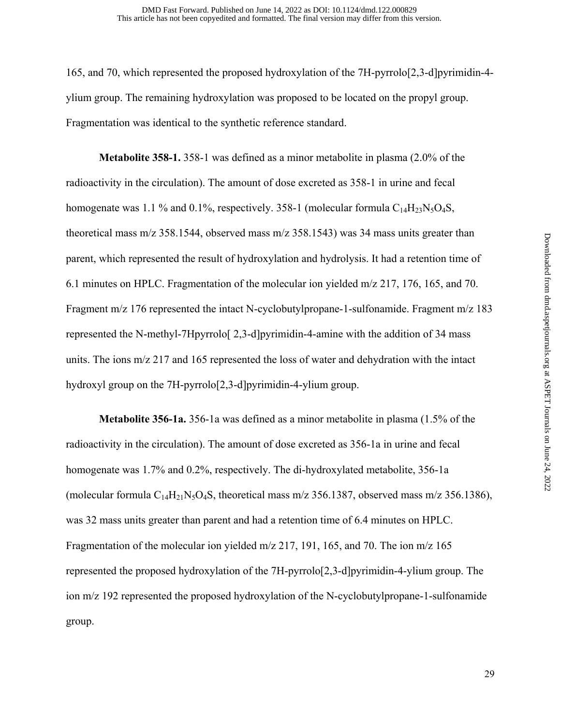165, and 70, which represented the proposed hydroxylation of the 7H-pyrrolo[2,3-d]pyrimidin-4 ylium group. The remaining hydroxylation was proposed to be located on the propyl group. Fragmentation was identical to the synthetic reference standard.

 **Metabolite 358-1.** 358-1 was defined as a minor metabolite in plasma (2.0% of the radioactivity in the circulation). The amount of dose excreted as 358-1 in urine and fecal homogenate was 1.1 % and 0.1%, respectively. 358-1 (molecular formula  $C_{14}H_{23}N_5O_4S$ , theoretical mass m/z 358.1544, observed mass m/z 358.1543) was 34 mass units greater than parent, which represented the result of hydroxylation and hydrolysis. It had a retention time of 6.1 minutes on HPLC. Fragmentation of the molecular ion yielded m/z 217, 176, 165, and 70. Fragment m/z 176 represented the intact N-cyclobutylpropane-1-sulfonamide. Fragment m/z 183 represented the N-methyl-7Hpyrrolo[ 2,3-d]pyrimidin-4-amine with the addition of 34 mass units. The ions m/z 217 and 165 represented the loss of water and dehydration with the intact hydroxyl group on the 7H-pyrrolo<sup>[2]</sup>, 3-d]pyrimidin-4-ylium group.

 **Metabolite 356-1a.** 356-1a was defined as a minor metabolite in plasma (1.5% of the radioactivity in the circulation). The amount of dose excreted as 356-1a in urine and fecal homogenate was 1.7% and 0.2%, respectively. The di-hydroxylated metabolite, 356-1a (molecular formula  $C_{14}H_{21}N_5O_4S$ , theoretical mass m/z 356.1387, observed mass m/z 356.1386), was 32 mass units greater than parent and had a retention time of 6.4 minutes on HPLC. Fragmentation of the molecular ion yielded m/z 217, 191, 165, and 70. The ion m/z 165 represented the proposed hydroxylation of the 7H-pyrrolo[2,3-d]pyrimidin-4-ylium group. The ion m/z 192 represented the proposed hydroxylation of the N-cyclobutylpropane-1-sulfonamide group.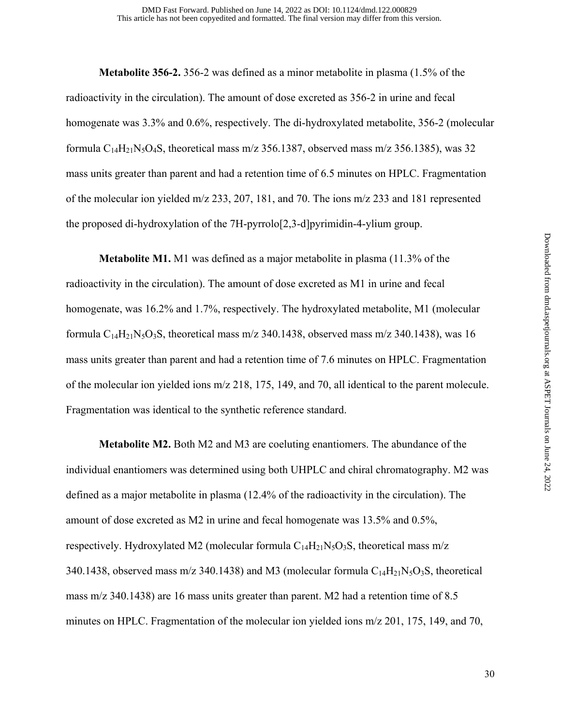**Metabolite 356-2.** 356-2 was defined as a minor metabolite in plasma (1.5% of the radioactivity in the circulation). The amount of dose excreted as 356-2 in urine and fecal homogenate was 3.3% and 0.6%, respectively. The di-hydroxylated metabolite, 356-2 (molecular formula  $C_{14}H_{21}N_5O_4S$ , theoretical mass m/z 356.1387, observed mass m/z 356.1385), was 32 mass units greater than parent and had a retention time of 6.5 minutes on HPLC. Fragmentation of the molecular ion yielded m/z 233, 207, 181, and 70. The ions m/z 233 and 181 represented the proposed di-hydroxylation of the 7H-pyrrolo[2,3-d]pyrimidin-4-ylium group.

 **Metabolite M1.** M1 was defined as a major metabolite in plasma (11.3% of the radioactivity in the circulation). The amount of dose excreted as M1 in urine and fecal homogenate, was 16.2% and 1.7%, respectively. The hydroxylated metabolite, M1 (molecular formula  $C_{14}H_{21}N_5O_3S$ , theoretical mass m/z 340.1438, observed mass m/z 340.1438), was 16 mass units greater than parent and had a retention time of 7.6 minutes on HPLC. Fragmentation of the molecular ion yielded ions m/z 218, 175, 149, and 70, all identical to the parent molecule. Fragmentation was identical to the synthetic reference standard.

 **Metabolite M2.** Both M2 and M3 are coeluting enantiomers. The abundance of the individual enantiomers was determined using both UHPLC and chiral chromatography. M2 was defined as a major metabolite in plasma (12.4% of the radioactivity in the circulation). The amount of dose excreted as M2 in urine and fecal homogenate was 13.5% and 0.5%, respectively. Hydroxylated M2 (molecular formula  $C_{14}H_{21}N_5O_3S$ , theoretical mass m/z 340.1438, observed mass m/z 340.1438) and M3 (molecular formula  $C_{14}H_{21}N_5O_3S$ , theoretical mass m/z 340.1438) are 16 mass units greater than parent. M2 had a retention time of 8.5 minutes on HPLC. Fragmentation of the molecular ion yielded ions m/z 201, 175, 149, and 70,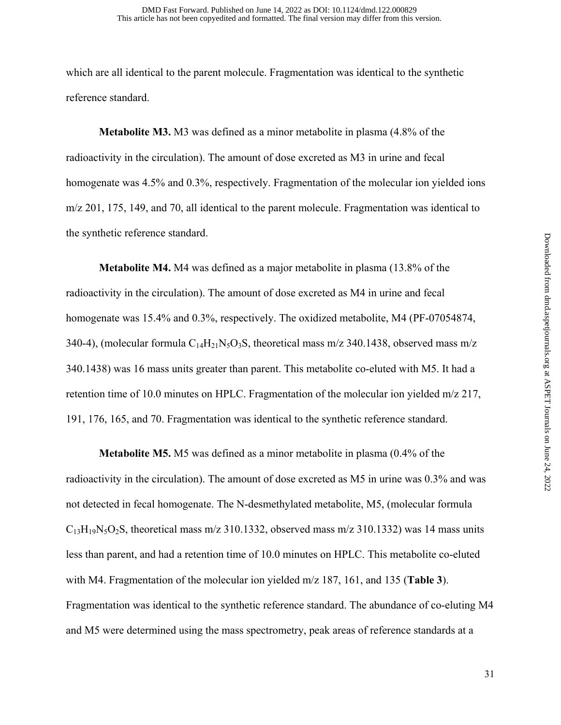which are all identical to the parent molecule. Fragmentation was identical to the synthetic reference standard.

 **Metabolite M3.** M3 was defined as a minor metabolite in plasma (4.8% of the radioactivity in the circulation). The amount of dose excreted as M3 in urine and fecal homogenate was 4.5% and 0.3%, respectively. Fragmentation of the molecular ion yielded ions m/z 201, 175, 149, and 70, all identical to the parent molecule. Fragmentation was identical to the synthetic reference standard.

 **Metabolite M4.** M4 was defined as a major metabolite in plasma (13.8% of the radioactivity in the circulation). The amount of dose excreted as M4 in urine and fecal homogenate was 15.4% and 0.3%, respectively. The oxidized metabolite, M4 (PF-07054874, 340-4), (molecular formula  $C_{14}H_{21}N_5O_3S$ , theoretical mass m/z 340.1438, observed mass m/z 340.1438) was 16 mass units greater than parent. This metabolite co-eluted with M5. It had a retention time of 10.0 minutes on HPLC. Fragmentation of the molecular ion yielded m/z 217, 191, 176, 165, and 70. Fragmentation was identical to the synthetic reference standard.

 **Metabolite M5.** M5 was defined as a minor metabolite in plasma (0.4% of the radioactivity in the circulation). The amount of dose excreted as M5 in urine was 0.3% and was not detected in fecal homogenate. The N-desmethylated metabolite, M5, (molecular formula  $C_{13}H_{19}N_5O_2S$ , theoretical mass m/z 310.1332, observed mass m/z 310.1332) was 14 mass units less than parent, and had a retention time of 10.0 minutes on HPLC. This metabolite co-eluted with M4. Fragmentation of the molecular ion yielded m/z 187, 161, and 135 (**Table 3**). Fragmentation was identical to the synthetic reference standard. The abundance of co-eluting M4 and M5 were determined using the mass spectrometry, peak areas of reference standards at a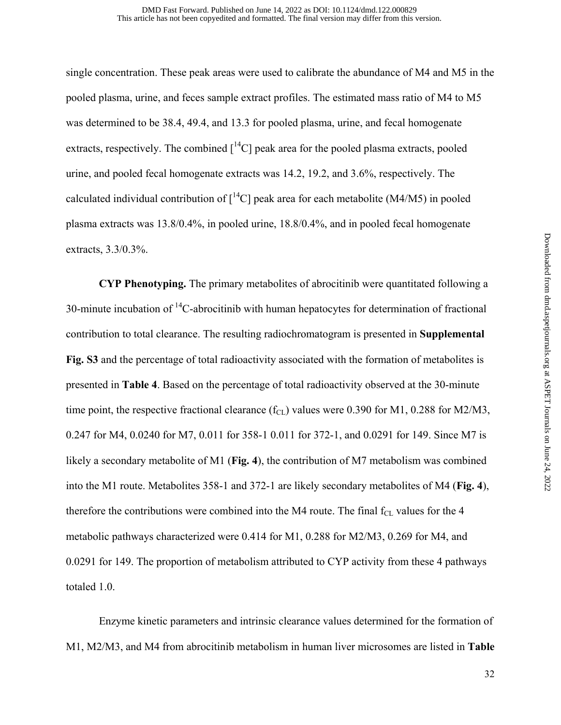single concentration. These peak areas were used to calibrate the abundance of M4 and M5 in the pooled plasma, urine, and feces sample extract profiles. The estimated mass ratio of M4 to M5 was determined to be 38.4, 49.4, and 13.3 for pooled plasma, urine, and fecal homogenate extracts, respectively. The combined  $\int^{14}C$ ] peak area for the pooled plasma extracts, pooled urine, and pooled fecal homogenate extracts was 14.2, 19.2, and 3.6%, respectively. The calculated individual contribution of  $\int^{14}C$ ] peak area for each metabolite (M4/M5) in pooled plasma extracts was 13.8/0.4%, in pooled urine, 18.8/0.4%, and in pooled fecal homogenate extracts, 3.3/0.3%.

 **CYP Phenotyping.** The primary metabolites of abrocitinib were quantitated following a 30-minute incubation of  ${}^{14}C$ -abrocitinib with human hepatocytes for determination of fractional contribution to total clearance. The resulting radiochromatogram is presented in **Supplemental Fig. S3** and the percentage of total radioactivity associated with the formation of metabolites is presented in **Table 4**. Based on the percentage of total radioactivity observed at the 30-minute time point, the respective fractional clearance  $(f_{CL})$  values were 0.390 for M1, 0.288 for M2/M3, 0.247 for M4, 0.0240 for M7, 0.011 for 358-1 0.011 for 372-1, and 0.0291 for 149. Since M7 is likely a secondary metabolite of M1 (**Fig. 4**), the contribution of M7 metabolism was combined into the M1 route. Metabolites 358-1 and 372-1 are likely secondary metabolites of M4 (**Fig. 4**), therefore the contributions were combined into the M4 route. The final  $f_{CL}$  values for the 4 metabolic pathways characterized were 0.414 for M1, 0.288 for M2/M3, 0.269 for M4, and 0.0291 for 149. The proportion of metabolism attributed to CYP activity from these 4 pathways totaled 1.0.

Enzyme kinetic parameters and intrinsic clearance values determined for the formation of M1, M2/M3, and M4 from abrocitinib metabolism in human liver microsomes are listed in **Table**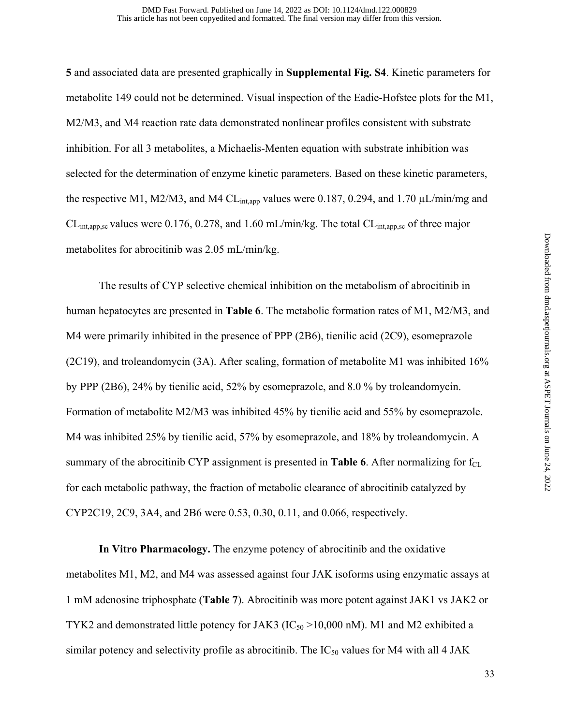**5** and associated data are presented graphically in **Supplemental Fig. S4**. Kinetic parameters for metabolite 149 could not be determined. Visual inspection of the Eadie-Hofstee plots for the M1, M2/M3, and M4 reaction rate data demonstrated nonlinear profiles consistent with substrate inhibition. For all 3 metabolites, a Michaelis-Menten equation with substrate inhibition was selected for the determination of enzyme kinetic parameters. Based on these kinetic parameters, the respective M1, M2/M3, and M4 CL<sub>int,app</sub> values were 0.187, 0.294, and 1.70  $\mu$ L/min/mg and  $CL_{int,app,sc}$  values were 0.176, 0.278, and 1.60 mL/min/kg. The total  $CL_{int,app,sc}$  of three major metabolites for abrocitinib was 2.05 mL/min/kg.

 The results of CYP selective chemical inhibition on the metabolism of abrocitinib in human hepatocytes are presented in **Table 6**. The metabolic formation rates of M1, M2/M3, and M4 were primarily inhibited in the presence of PPP (2B6), tienilic acid (2C9), esomeprazole (2C19), and troleandomycin (3A). After scaling, formation of metabolite M1 was inhibited  $16\%$ by PPP (2B6), 24% by tienilic acid, 52% by esomeprazole, and 8.0 % by troleandomycin. Formation of metabolite M2/M3 was inhibited 45% by tienilic acid and 55% by esomeprazole. M4 was inhibited 25% by tienilic acid, 57% by esomeprazole, and 18% by troleandomycin. A summary of the abrocitinib CYP assignment is presented in **Table 6**. After normalizing for  $f_{CL}$ for each metabolic pathway, the fraction of metabolic clearance of abrocitinib catalyzed by CYP2C19, 2C9, 3A4, and 2B6 were 0.53, 0.30, 0.11, and 0.066, respectively.

 **In Vitro Pharmacology.** The enzyme potency of abrocitinib and the oxidative metabolites M1, M2, and M4 was assessed against four JAK isoforms using enzymatic assays at 1 mM adenosine triphosphate (**Table 7**). Abrocitinib was more potent against JAK1 vs JAK2 or TYK2 and demonstrated little potency for JAK3 ( $IC_{50}$  >10,000 nM). M1 and M2 exhibited a similar potency and selectivity profile as abrocitinib. The  $IC_{50}$  values for M4 with all 4 JAK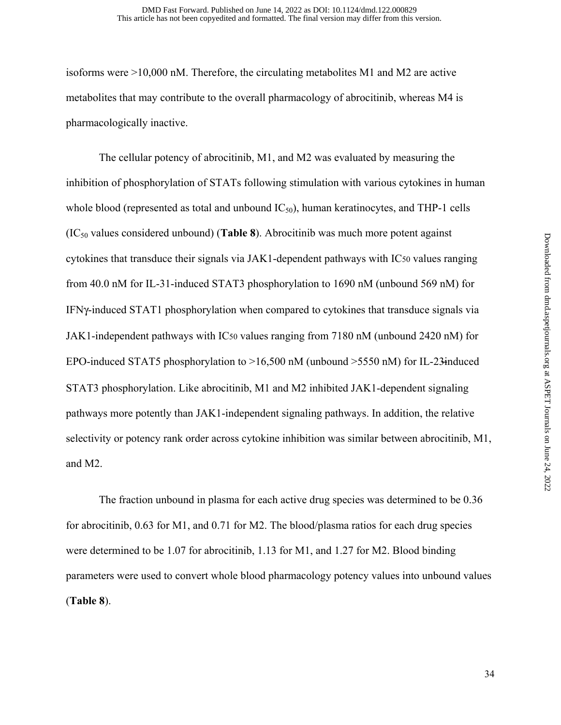isoforms were >10,000 nM. Therefore, the circulating metabolites M1 and M2 are active metabolites that may contribute to the overall pharmacology of abrocitinib, whereas M4 is pharmacologically inactive.

The cellular potency of abrocitinib, M1, and M2 was evaluated by measuring the inhibition of phosphorylation of STATs following stimulation with various cytokines in human whole blood (represented as total and unbound  $IC_{50}$ ), human keratinocytes, and THP-1 cells  $(IC_{50}$  values considered unbound) (**Table 8**). Abrocitinib was much more potent against cytokines that transduce their signals via JAK1-dependent pathways with IC50 values ranging from 40.0 nM for IL-31-induced STAT3 phosphorylation to 1690 nM (unbound 569 nM) for IFNγ-induced STAT1 phosphorylation when compared to cytokines that transduce signals via JAK1-independent pathways with IC50 values ranging from 7180 nM (unbound 2420 nM) for EPO-induced STAT5 phosphorylation to >16,500 nM (unbound >5550 nM) for IL-23̶induced STAT3 phosphorylation. Like abrocitinib, M1 and M2 inhibited JAK1-dependent signaling pathways more potently than JAK1-independent signaling pathways. In addition, the relative selectivity or potency rank order across cytokine inhibition was similar between abrocitinib, M1, and M2.

The fraction unbound in plasma for each active drug species was determined to be 0.36 for abrocitinib, 0.63 for M1, and 0.71 for M2. The blood/plasma ratios for each drug species were determined to be 1.07 for abrocitinib, 1.13 for M1, and 1.27 for M2. Blood binding parameters were used to convert whole blood pharmacology potency values into unbound values (**Table 8**).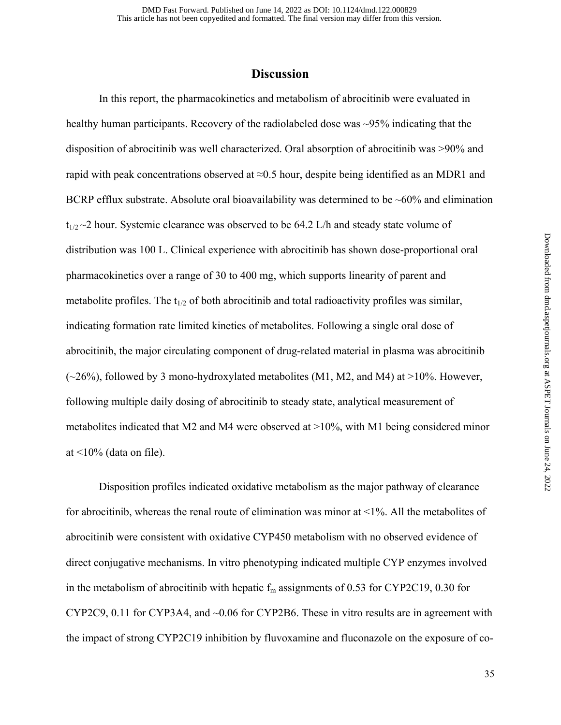### **Discussion**

 In this report, the pharmacokinetics and metabolism of abrocitinib were evaluated in healthy human participants. Recovery of the radiolabeled dose was ~95% indicating that the disposition of abrocitinib was well characterized. Oral absorption of abrocitinib was >90% and rapid with peak concentrations observed at  $\approx 0.5$  hour, despite being identified as an MDR1 and BCRP efflux substrate. Absolute oral bioavailability was determined to be  $~60\%$  and elimination  $t_{1/2}$  ~2 hour. Systemic clearance was observed to be 64.2 L/h and steady state volume of distribution was 100 L. Clinical experience with abrocitinib has shown dose-proportional oral pharmacokinetics over a range of 30 to 400 mg, which supports linearity of parent and metabolite profiles. The  $t_{1/2}$  of both abrocitinib and total radioactivity profiles was similar, indicating formation rate limited kinetics of metabolites. Following a single oral dose of abrocitinib, the major circulating component of drug-related material in plasma was abrocitinib  $(\sim 26\%)$ , followed by 3 mono-hydroxylated metabolites (M1, M2, and M4) at >10%. However, following multiple daily dosing of abrocitinib to steady state, analytical measurement of metabolites indicated that M2 and M4 were observed at >10%, with M1 being considered minor at  $\leq$ 10% (data on file).

 Disposition profiles indicated oxidative metabolism as the major pathway of clearance for abrocitinib, whereas the renal route of elimination was minor at <1%. All the metabolites of abrocitinib were consistent with oxidative CYP450 metabolism with no observed evidence of direct conjugative mechanisms. In vitro phenotyping indicated multiple CYP enzymes involved in the metabolism of abrocitinib with hepatic  $f_m$  assignments of 0.53 for CYP2C19, 0.30 for CYP2C9, 0.11 for CYP3A4, and ~0.06 for CYP2B6. These in vitro results are in agreement with the impact of strong CYP2C19 inhibition by fluvoxamine and fluconazole on the exposure of co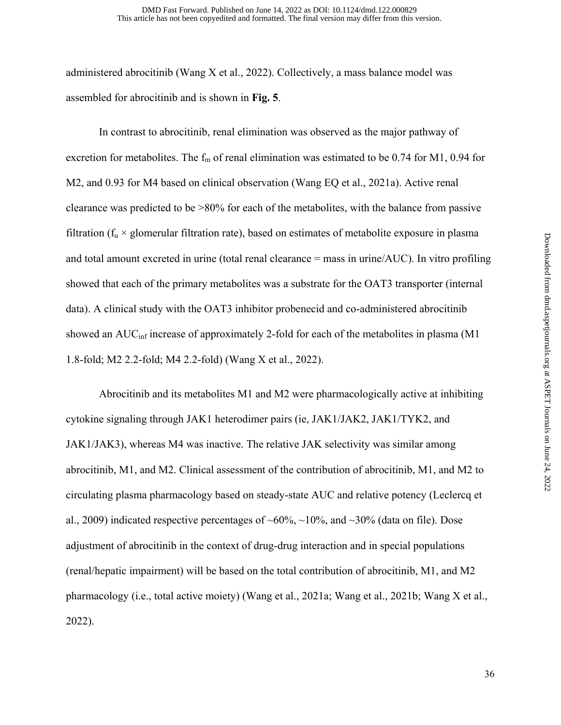administered abrocitinib (Wang X et al., 2022). Collectively, a mass balance model was assembled for abrocitinib and is shown in **Fig. 5**.

In contrast to abrocitinib, renal elimination was observed as the major pathway of excretion for metabolites. The  $f_m$  of renal elimination was estimated to be 0.74 for M1, 0.94 for M2, and 0.93 for M4 based on clinical observation (Wang EQ et al., 2021a). Active renal clearance was predicted to be >80% for each of the metabolites, with the balance from passive filtration ( $f_u \times$  glomerular filtration rate), based on estimates of metabolite exposure in plasma and total amount excreted in urine (total renal clearance = mass in urine/AUC). In vitro profiling showed that each of the primary metabolites was a substrate for the OAT3 transporter (internal data). A clinical study with the OAT3 inhibitor probenecid and co-administered abrocitinib showed an  $AUC_{\text{inf}}$  increase of approximately 2-fold for each of the metabolites in plasma (M1 1.8-fold; M2 2.2-fold; M4 2.2-fold) (Wang X et al., 2022).

 Abrocitinib and its metabolites M1 and M2 were pharmacologically active at inhibiting cytokine signaling through JAK1 heterodimer pairs (ie, JAK1/JAK2, JAK1/TYK2, and JAK1/JAK3), whereas M4 was inactive. The relative JAK selectivity was similar among abrocitinib, M1, and M2. Clinical assessment of the contribution of abrocitinib, M1, and M2 to circulating plasma pharmacology based on steady-state AUC and relative potency (Leclercq et al., 2009) indicated respective percentages of  $\sim 60\%$ ,  $\sim 10\%$ , and  $\sim 30\%$  (data on file). Dose adjustment of abrocitinib in the context of drug-drug interaction and in special populations (renal/hepatic impairment) will be based on the total contribution of abrocitinib, M1, and M2 pharmacology (i.e., total active moiety) (Wang et al., 2021a; Wang et al., 2021b; Wang X et al., 2022).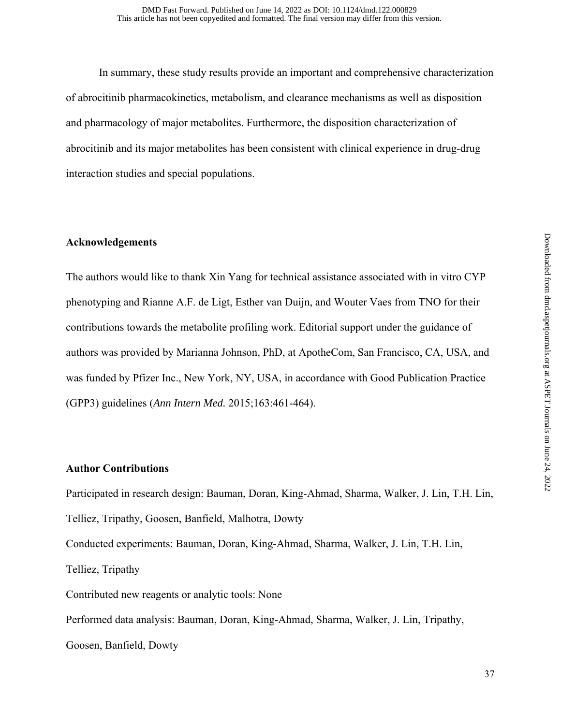In summary, these study results provide an important and comprehensive characterization of abrocitinib pharmacokinetics, metabolism, and clearance mechanisms as well as disposition and pharmacology of major metabolites. Furthermore, the disposition characterization of abrocitinib and its major metabolites has been consistent with clinical experience in drug-drug interaction studies and special populations.

#### **Acknowledgements**

The authors would like to thank Xin Yang for technical assistance associated with in vitro CYP phenotyping and Rianne A.F. de Ligt, Esther van Duijn, and Wouter Vaes from TNO for their contributions towards the metabolite profiling work. Editorial support under the guidance of authors was provided by Marianna Johnson, PhD, at ApotheCom, San Francisco, CA, USA, and was funded by Pfizer Inc., New York, NY, USA, in accordance with Good Publication Practice (GPP3) guidelines (*Ann Intern Med.* 2015;163:461-464).

#### **Author Contributions**

Participated in research design: Bauman, Doran, King-Ahmad, Sharma, Walker, J. Lin, T.H. Lin, Telliez, Tripathy, Goosen, Banfield, Malhotra, Dowty Conducted experiments: Bauman, Doran, King-Ahmad, Sharma, Walker, J. Lin, T.H. Lin, Telliez, Tripathy Contributed new reagents or analytic tools: None Performed data analysis: Bauman, Doran, King-Ahmad, Sharma, Walker, J. Lin, Tripathy, Goosen, Banfield, Dowty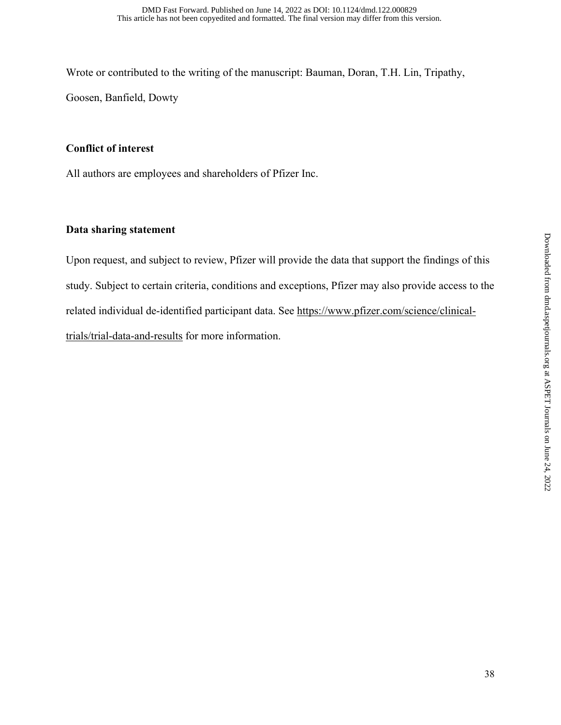Wrote or contributed to the writing of the manuscript: Bauman, Doran, T.H. Lin, Tripathy, Goosen, Banfield, Dowty

## **Conflict of interest**

All authors are employees and shareholders of Pfizer Inc.

### **Data sharing statement**

Upon request, and subject to review, Pfizer will provide the data that support the findings of this study. Subject to certain criteria, conditions and exceptions, Pfizer may also provide access to the related individual de-identified participant data. See https://www.pfizer.com/science/clinicaltrials/trial-data-and-results for more information.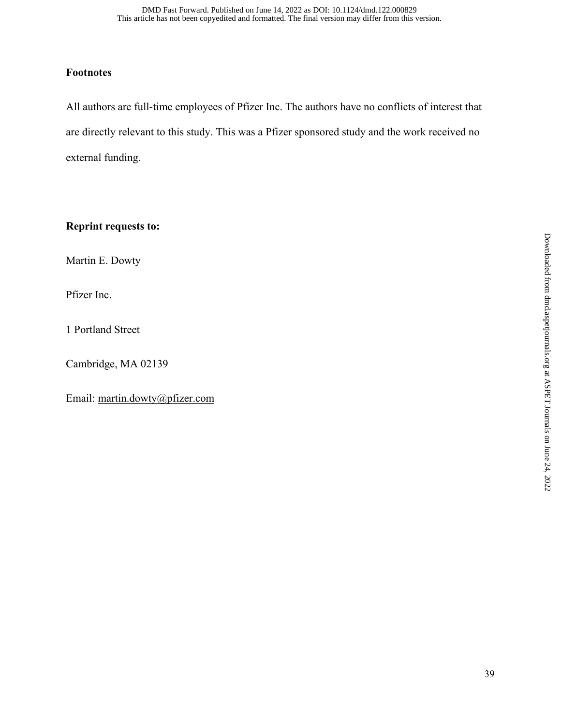## **Footnotes**

All authors are full-time employees of Pfizer Inc. The authors have no conflicts of interest that are directly relevant to this study. This was a Pfizer sponsored study and the work received no external funding.

**Reprint requests to:** 

Martin E. Dowty

Pfizer Inc.

1 Portland Street

Cambridge, MA 02139

Email: martin.dowty@pfizer.com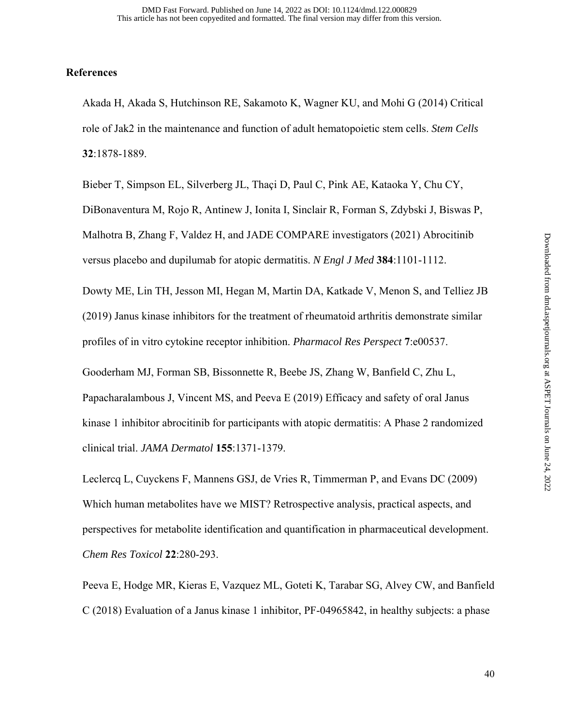#### **References**

Akada H, Akada S, Hutchinson RE, Sakamoto K, Wagner KU, and Mohi G (2014) Critical role of Jak2 in the maintenance and function of adult hematopoietic stem cells. *Stem Cells* **32**:1878-1889.

Bieber T, Simpson EL, Silverberg JL, Thaçi D, Paul C, Pink AE, Kataoka Y, Chu CY, DiBonaventura M, Rojo R, Antinew J, Ionita I, Sinclair R, Forman S, Zdybski J, Biswas P, Malhotra B, Zhang F, Valdez H, and JADE COMPARE investigators (2021) Abrocitinib versus placebo and dupilumab for atopic dermatitis. *N Engl J Med* **384**:1101-1112.

Dowty ME, Lin TH, Jesson MI, Hegan M, Martin DA, Katkade V, Menon S, and Telliez JB (2019) Janus kinase inhibitors for the treatment of rheumatoid arthritis demonstrate similar profiles of in vitro cytokine receptor inhibition. *Pharmacol Res Perspect* **7**:e00537.

Gooderham MJ, Forman SB, Bissonnette R, Beebe JS, Zhang W, Banfield C, Zhu L, Papacharalambous J, Vincent MS, and Peeva E (2019) Efficacy and safety of oral Janus kinase 1 inhibitor abrocitinib for participants with atopic dermatitis: A Phase 2 randomized clinical trial. *JAMA Dermatol* **155**:1371-1379.

Leclercq L, Cuyckens F, Mannens GSJ, de Vries R, Timmerman P, and Evans DC (2009) Which human metabolites have we MIST? Retrospective analysis, practical aspects, and perspectives for metabolite identification and quantification in pharmaceutical development. *Chem Res Toxicol* **22**:280-293.

Peeva E, Hodge MR, Kieras E, Vazquez ML, Goteti K, Tarabar SG, Alvey CW, and Banfield C (2018) Evaluation of a Janus kinase 1 inhibitor, PF-04965842, in healthy subjects: a phase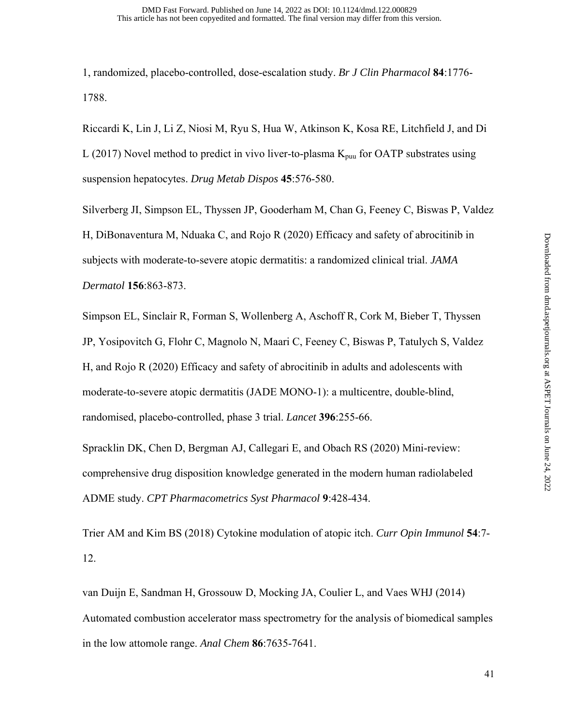1, randomized, placebo-controlled, dose-escalation study. *Br J Clin Pharmacol* **84**:1776- 1788.

Riccardi K, Lin J, Li Z, Niosi M, Ryu S, Hua W, Atkinson K, Kosa RE, Litchfield J, and Di L (2017) Novel method to predict in vivo liver-to-plasma  $K_{\text{puu}}$  for OATP substrates using suspension hepatocytes. *Drug Metab Dispos* **45**:576-580.

Silverberg JI, Simpson EL, Thyssen JP, Gooderham M, Chan G, Feeney C, Biswas P, Valdez H, DiBonaventura M, Nduaka C, and Rojo R (2020) Efficacy and safety of abrocitinib in subjects with moderate-to-severe atopic dermatitis: a randomized clinical trial. *JAMA Dermatol* **156**:863-873.

Simpson EL, Sinclair R, Forman S, Wollenberg A, Aschoff R, Cork M, Bieber T, Thyssen JP, Yosipovitch G, Flohr C, Magnolo N, Maari C, Feeney C, Biswas P, Tatulych S, Valdez H, and Rojo R (2020) Efficacy and safety of abrocitinib in adults and adolescents with moderate-to-severe atopic dermatitis (JADE MONO-1): a multicentre, double-blind, randomised, placebo-controlled, phase 3 trial. *Lancet* **396**:255-66.

Spracklin DK, Chen D, Bergman AJ, Callegari E, and Obach RS (2020) Mini-review: comprehensive drug disposition knowledge generated in the modern human radiolabeled ADME study. *CPT Pharmacometrics Syst Pharmacol* **9**:428-434.

Trier AM and Kim BS (2018) Cytokine modulation of atopic itch. *Curr Opin Immunol* **54**:7- 12.

van Duijn E, Sandman H, Grossouw D, Mocking JA, Coulier L, and Vaes WHJ (2014) Automated combustion accelerator mass spectrometry for the analysis of biomedical samples in the low attomole range. *Anal Chem* **86**:7635-7641.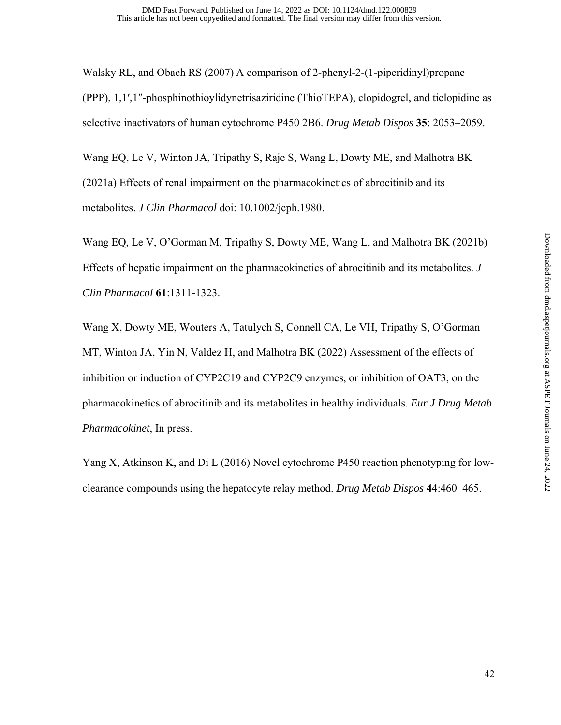Walsky RL, and Obach RS (2007) A comparison of 2-phenyl-2-(1-piperidinyl)propane (PPP), 1,1′,1″-phosphinothioylidynetrisaziridine (ThioTEPA), clopidogrel, and ticlopidine as selective inactivators of human cytochrome P450 2B6. *Drug Metab Dispos* **35**: 2053–2059.

Wang EQ, Le V, Winton JA, Tripathy S, Raje S, Wang L, Dowty ME, and Malhotra BK (2021a) Effects of renal impairment on the pharmacokinetics of abrocitinib and its metabolites. *J Clin Pharmacol* doi: 10.1002/jcph.1980.

Wang EQ, Le V, O'Gorman M, Tripathy S, Dowty ME, Wang L, and Malhotra BK (2021b) Effects of hepatic impairment on the pharmacokinetics of abrocitinib and its metabolites. *J Clin Pharmacol* **61**:1311-1323.

Wang X, Dowty ME, Wouters A, Tatulych S, Connell CA, Le VH, Tripathy S, O'Gorman MT, Winton JA, Yin N, Valdez H, and Malhotra BK (2022) Assessment of the effects of inhibition or induction of CYP2C19 and CYP2C9 enzymes, or inhibition of OAT3, on the pharmacokinetics of abrocitinib and its metabolites in healthy individuals. *Eur J Drug Metab Pharmacokinet*, In press.

Yang X, Atkinson K, and Di L (2016) Novel cytochrome P450 reaction phenotyping for lowclearance compounds using the hepatocyte relay method. *Drug Metab Dispos* **44**:460–465.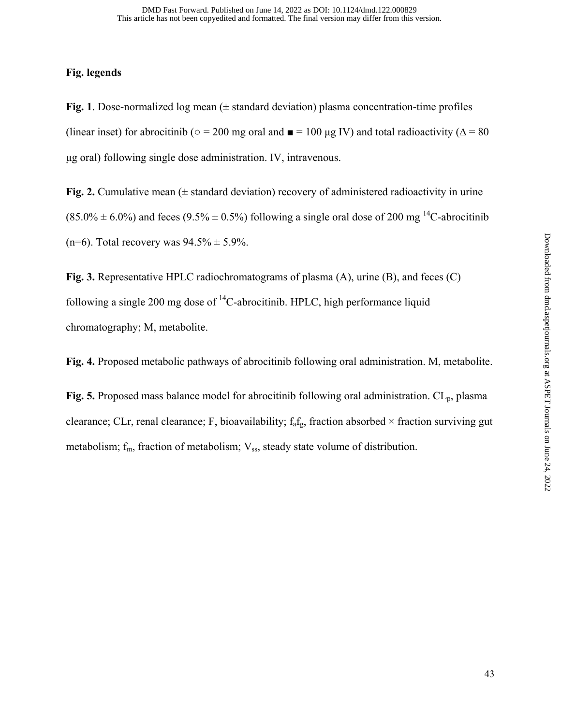#### **Fig. legends**

**Fig. 1**. Dose-normalized log mean (± standard deviation) plasma concentration-time profiles (linear inset) for abrocitinib ( $\circ$  = 200 mg oral and  $\blacksquare$  = 100 µg IV) and total radioactivity ( $\Delta$  = 80 μg oral) following single dose administration. IV, intravenous.

**Fig. 2.** Cumulative mean  $(\pm$  standard deviation) recovery of administered radioactivity in urine  $(85.0\% \pm 6.0\%)$  and feces  $(9.5\% \pm 0.5\%)$  following a single oral dose of 200 mg <sup>14</sup>C-abrocitinib (n=6). Total recovery was  $94.5\% \pm 5.9\%$ .

**Fig. 3.** Representative HPLC radiochromatograms of plasma (A), urine (B), and feces (C) following a single 200 mg dose of  ${}^{14}$ C-abrocitinib. HPLC, high performance liquid chromatography; M, metabolite.

**Fig. 4.** Proposed metabolic pathways of abrocitinib following oral administration. M, metabolite.

Fig. 5. Proposed mass balance model for abrocitinib following oral administration. CL<sub>p</sub>, plasma clearance; CLr, renal clearance; F, bioavailability;  $f_a f_g$ , fraction absorbed  $\times$  fraction surviving gut metabolism;  $f_m$ , fraction of metabolism;  $V_{ss}$ , steady state volume of distribution.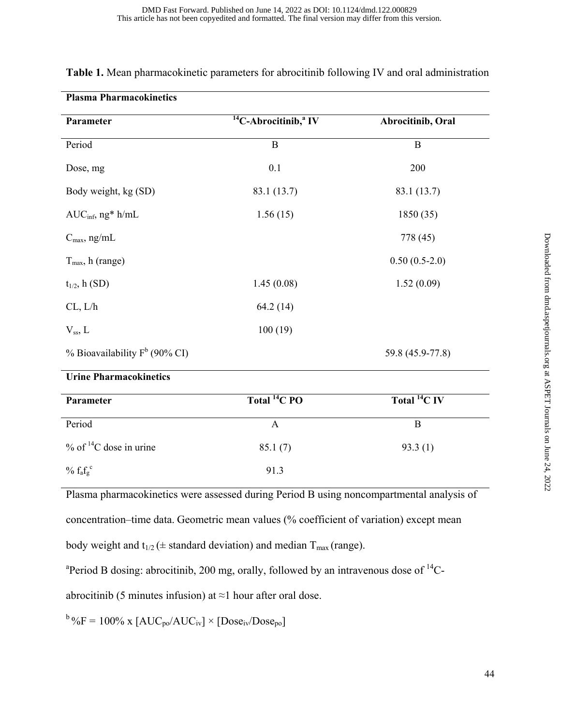| Parameter                            | $14C$ -Abrocitinib, <sup>a</sup> IV | Abrocitinib, Oral   |
|--------------------------------------|-------------------------------------|---------------------|
| Period                               | $\, {\bf B}$                        | $\bf{B}$            |
| Dose, mg                             | 0.1                                 | 200                 |
| Body weight, kg (SD)                 | 83.1 (13.7)                         | 83.1 (13.7)         |
| $AUC_{\text{inf}}, ng^* h/mL$        | 1.56(15)                            | 1850(35)            |
| $C_{\text{max}}$ , ng/mL             |                                     | 778 (45)            |
| $T_{\text{max}}$ , h (range)         |                                     | $0.50(0.5-2.0)$     |
| $t_{1/2}$ , h (SD)                   | 1.45(0.08)                          | 1.52(0.09)          |
| CL, L/h                              | 64.2 (14)                           |                     |
| $V_{ss}$ , L                         | 100(19)                             |                     |
| % Bioavailability $F^b$ (90% CI)     |                                     | 59.8 (45.9-77.8)    |
| <b>Urine Pharmacokinetics</b>        |                                     |                     |
| Parameter                            | Total <sup>14</sup> C PO            | Total ${}^{14}C$ IV |
| Period                               | $\boldsymbol{\mathsf{A}}$           | $\, {\bf B}$        |
| $%$ of <sup>14</sup> C dose in urine | 85.1(7)                             | 93.3(1)             |
| $\%$ $\rm{f_{a}f_{g}}^{c}$           | 91.3                                |                     |

## **Table 1.** Mean pharmacokinetic parameters for abrocitinib following IV and oral administration

Plasma pharmacokinetics were assessed during Period B using noncompartmental analysis of

concentration–time data. Geometric mean values (% coefficient of variation) except mean

body weight and  $t_{1/2}$  ( $\pm$  standard deviation) and median  $T_{\text{max}}$  (range).

<sup>a</sup>Period B dosing: abrocitinib, 200 mg, orally, followed by an intravenous dose of  $^{14}$ C-

abrocitinib (5 minutes infusion) at  $\approx$ 1 hour after oral dose.

 $b_{\text{O}}/b_{\text{O}} = 100\%$  x  $[AUC_{\text{po}}/AUC_{\text{iv}}] \times [Dose_{\text{iv}}/Dose_{\text{po}}]$ 

**Plasma Pharmacokinetics**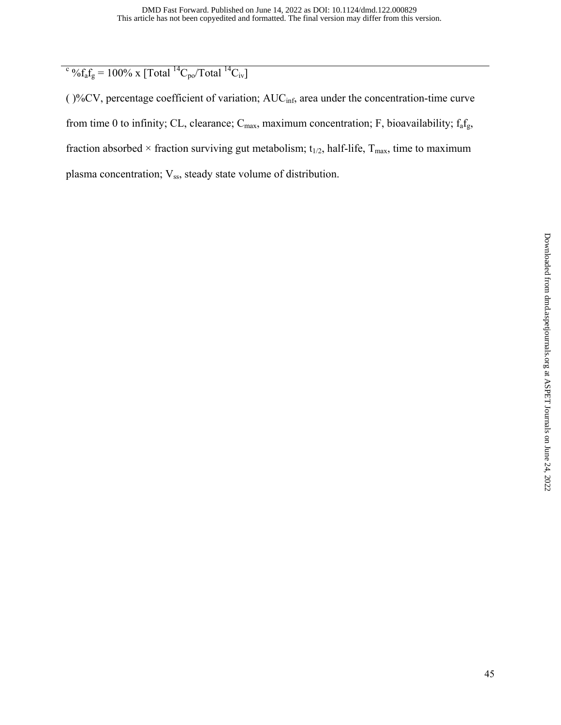$\frac{\epsilon_0}{\epsilon_0 f_a f_g} = 100\% \text{ x } [\text{Total }^{14}\text{C}_{po}/\text{Total }^{14}\text{C}_{iv}]$ 

( )%CV, percentage coefficient of variation; AUCinf, area under the concentration-time curve from time 0 to infinity; CL, clearance;  $C_{max}$ , maximum concentration; F, bioavailability;  $f_a f_g$ , fraction absorbed  $\times$  fraction surviving gut metabolism;  $t_{1/2}$ , half-life,  $T_{max}$ , time to maximum plasma concentration; Vss, steady state volume of distribution.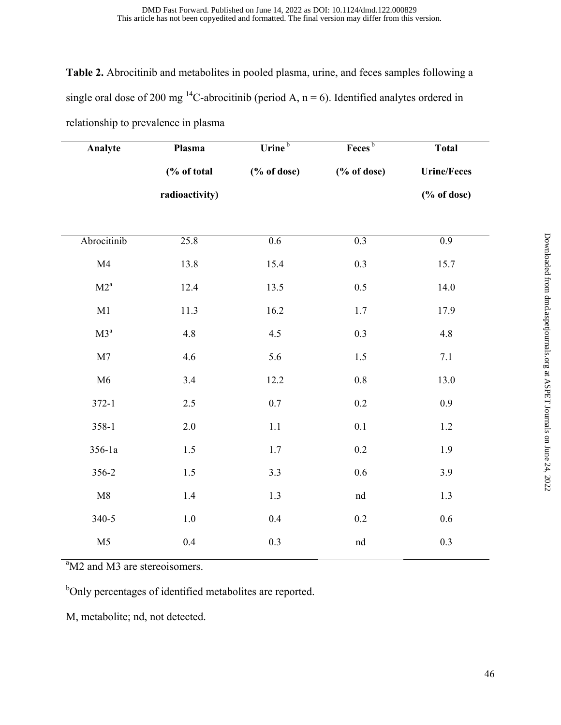**Table 2.** Abrocitinib and metabolites in pooled plasma, urine, and feces samples following a single oral dose of 200 mg <sup>14</sup>C-abrocitinib (period A, n = 6). Identified analytes ordered in relationship to prevalence in plasma

| Analyte        | Plasma         | Urine <sup>b</sup>           | Feces <sup>b</sup> | <b>Total</b>       |
|----------------|----------------|------------------------------|--------------------|--------------------|
|                | (% of total    | $(% \mathbf{A})$ (% of dose) | (% of dose)        | <b>Urine/Feces</b> |
|                | radioactivity) |                              |                    | (% of dose)        |
|                |                |                              |                    |                    |
| Abrocitinib    | 25.8           | 0.6                          | 0.3                | 0.9                |
| M4             | 13.8           | 15.4                         | 0.3                | 15.7               |
| $M2^a$         | 12.4           | 13.5                         | 0.5                | 14.0               |
| M1             | 11.3           | 16.2                         | 1.7                | 17.9               |
| $\rm M3^a$     | 4.8            | 4.5                          | 0.3                | 4.8                |
| M7             | 4.6            | 5.6                          | 1.5                | $7.1\,$            |
| M6             | 3.4            | 12.2                         | $0.8\,$            | 13.0               |
| $372 - 1$      | $2.5\,$        | $0.7\,$                      | $0.2\,$            | 0.9                |
| $358 - 1$      | 2.0            | 1.1                          | 0.1                | $1.2\,$            |
| $356 - 1a$     | 1.5            | 1.7                          | 0.2                | 1.9                |
| 356-2          | 1.5            | 3.3                          | 0.6                | 3.9                |
| M8             | 1.4            | 1.3                          | nd                 | 1.3                |
| 340-5          | $1.0\,$        | 0.4                          | 0.2                | 0.6                |
| M <sub>5</sub> | 0.4            | $0.3\,$                      | $^{\rm nd}$        | $0.3\,$            |

<sup>a</sup>M2 and M3 are stereoisomers.

<sup>b</sup>Only percentages of identified metabolites are reported.

M, metabolite; nd, not detected.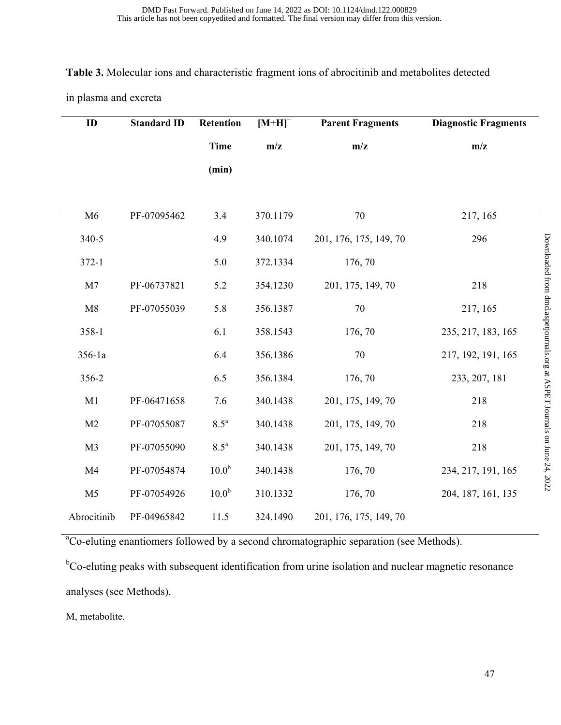#### **Table 3.** Molecular ions and characteristic fragment ions of abrocitinib and metabolites detected

in plasma and excreta

| ID             | <b>Standard ID</b> | Retention          | $[M+H]$ <sup>+</sup> | <b>Parent Fragments</b> | <b>Diagnostic Fragments</b> |
|----------------|--------------------|--------------------|----------------------|-------------------------|-----------------------------|
|                |                    | <b>Time</b>        | m/z                  | m/z                     | m/z                         |
|                |                    | (min)              |                      |                         |                             |
|                |                    |                    |                      |                         |                             |
| M6             | PF-07095462        | 3.4                | 370.1179             | 70                      | 217, 165                    |
| 340-5          |                    | 4.9                | 340.1074             | 201, 176, 175, 149, 70  | 296                         |
| $372 - 1$      |                    | 5.0                | 372.1334             | 176, 70                 |                             |
| M <sub>7</sub> | PF-06737821        | 5.2                | 354.1230             | 201, 175, 149, 70       | 218                         |
| M8             | PF-07055039        | 5.8                | 356.1387             | $70\,$                  | 217, 165                    |
| 358-1          |                    | 6.1                | 358.1543             | 176, 70                 | 235, 217, 183, 165          |
| 356-1a         |                    | 6.4                | 356.1386             | $70\,$                  | 217, 192, 191, 165          |
| 356-2          |                    | 6.5                | 356.1384             | 176, 70                 | 233, 207, 181               |
| M1             | PF-06471658        | 7.6                | 340.1438             | 201, 175, 149, 70       | 218                         |
| M <sub>2</sub> | PF-07055087        | $8.5^{\mathrm{a}}$ | 340.1438             | 201, 175, 149, 70       | 218                         |
| M <sub>3</sub> | PF-07055090        | $8.5^{\mathrm{a}}$ | 340.1438             | 201, 175, 149, 70       | 218                         |
| M <sub>4</sub> | PF-07054874        | 10.0 <sup>b</sup>  | 340.1438             | 176, 70                 | 234, 217, 191, 165          |
| M <sub>5</sub> | PF-07054926        | 10.0 <sup>b</sup>  | 310.1332             | 176, 70                 | 204, 187, 161, 135          |
| Abrocitinib    | PF-04965842        | 11.5               | 324.1490             | 201, 176, 175, 149, 70  |                             |

<sup>a</sup>Co-eluting enantiomers followed by a second chromatographic separation (see Methods).

<sup>b</sup>Co-eluting peaks with subsequent identification from urine isolation and nuclear magnetic resonance analyses (see Methods).

M, metabolite.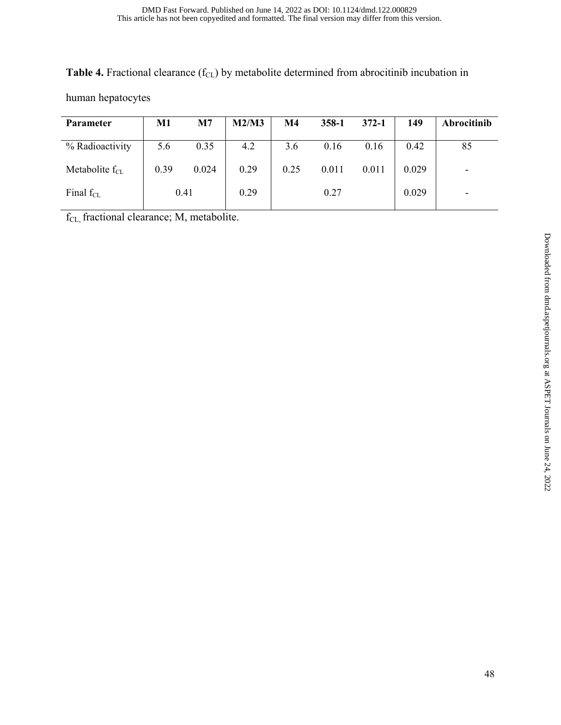Table 4. Fractional clearance (f<sub>CL</sub>) by metabolite determined from abrocitinib incubation in

human hepatocytes

| Parameter           | M1   | M7    | M2/M3 | M4   | $358 - 1$ | $372 - 1$ | 149   | Abrocitinib |
|---------------------|------|-------|-------|------|-----------|-----------|-------|-------------|
| % Radioactivity     | 5.6  | 0.35  | 4.2   | 3.6  | 0.16      | 0.16      | 0.42  | 85          |
| Metabolite $f_{CL}$ | 0.39 | 0.024 | 0.29  | 0.25 | 0.011     | 0.011     | 0.029 | -           |
| Final $f_{CL}$      |      | 0.41  | 0.29  |      | 0.27      |           | 0.029 | -           |

f<sub>CL</sub>, fractional clearance; M, metabolite.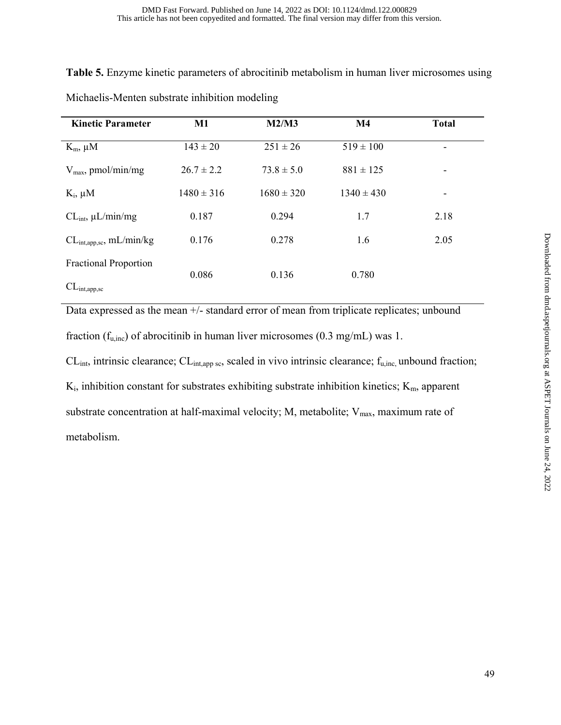**Table 5.** Enzyme kinetic parameters of abrocitinib metabolism in human liver microsomes using

| <b>Kinetic Parameter</b>                                   | M1             | M2/M3          | $\mathbf{M}4$  | <b>Total</b> |  |
|------------------------------------------------------------|----------------|----------------|----------------|--------------|--|
| $K_m$ , $\mu$ M                                            | $143 \pm 20$   | $251 \pm 26$   | $519 \pm 100$  |              |  |
| $V_{\text{max}}$ , pmol/min/mg                             | $26.7 \pm 2.2$ | $73.8 \pm 5.0$ | $881 \pm 125$  |              |  |
| $K_i$ , $\mu$ M                                            | $1480 \pm 316$ | $1680 \pm 320$ | $1340 \pm 430$ |              |  |
| $CL_{int}$ , $\mu L/min/mg$                                | 0.187          | 0.294          | 1.7            | 2.18         |  |
| CL <sub>int,app,sc</sub> , mL/min/kg                       | 0.176          | 0.278          | 1.6            | 2.05         |  |
| <b>Fractional Proportion</b><br>CL <sub>int, app, sc</sub> | 0.086          | 0.136          | 0.780          |              |  |

Michaelis-Menten substrate inhibition modeling

Data expressed as the mean +/- standard error of mean from triplicate replicates; unbound fraction ( $f_{u,inc}$ ) of abrocitinib in human liver microsomes (0.3 mg/mL) was 1.

 $CL<sub>int</sub>$  intrinsic clearance;  $CL<sub>int,app sc</sub>$ , scaled in vivo intrinsic clearance;  $f<sub>u,inc</sub>$  unbound fraction;  $K_i$ , inhibition constant for substrates exhibiting substrate inhibition kinetics;  $K_m$ , apparent substrate concentration at half-maximal velocity; M, metabolite;  $V_{max}$ , maximum rate of metabolism.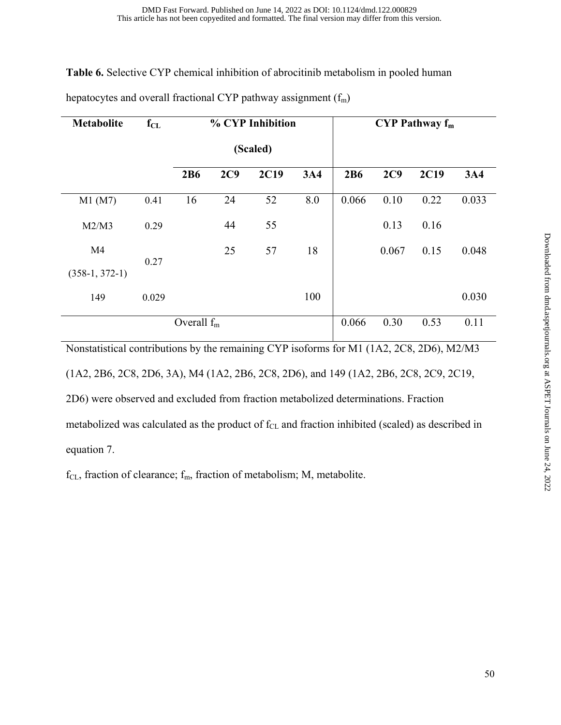**Table 6.** Selective CYP chemical inhibition of abrocitinib metabolism in pooled human

| <b>Metabolite</b> | $f_{CL}$ | % CYP Inhibition |     |          | $CYP$ Pathway $f_m$ |       |       |             |            |
|-------------------|----------|------------------|-----|----------|---------------------|-------|-------|-------------|------------|
|                   |          |                  |     | (Scaled) |                     |       |       |             |            |
|                   |          | 2B6              | 2C9 | 2C19     | 3A4                 | 2B6   | 2C9   | <b>2C19</b> | <b>3A4</b> |
| M1(M7)            | 0.41     | 16               | 24  | 52       | 8.0                 | 0.066 | 0.10  | 0.22        | 0.033      |
| M2/M3             | 0.29     |                  | 44  | 55       |                     |       | 0.13  | 0.16        |            |
| M4                | 0.27     |                  | 25  | 57       | 18                  |       | 0.067 | 0.15        | 0.048      |
| $(358-1, 372-1)$  |          |                  |     |          |                     |       |       |             |            |
| 149               | 0.029    |                  |     |          | 100                 |       |       |             | 0.030      |
|                   |          | Overall $f_m$    |     |          |                     | 0.066 | 0.30  | 0.53        | 0.11       |

hepatocytes and overall fractional CYP pathway assignment  $(f_m)$ 

Nonstatistical contributions by the remaining CYP isoforms for M1 (1A2, 2C8, 2D6), M2/M3 (1A2, 2B6, 2C8, 2D6, 3A), M4 (1A2, 2B6, 2C8, 2D6), and 149 (1A2, 2B6, 2C8, 2C9, 2C19, 2D6) were observed and excluded from fraction metabolized determinations. Fraction metabolized was calculated as the product of f<sub>CL</sub> and fraction inhibited (scaled) as described in equation 7.

 $f_{CL}$ , fraction of clearance;  $f_m$ , fraction of metabolism; M, metabolite.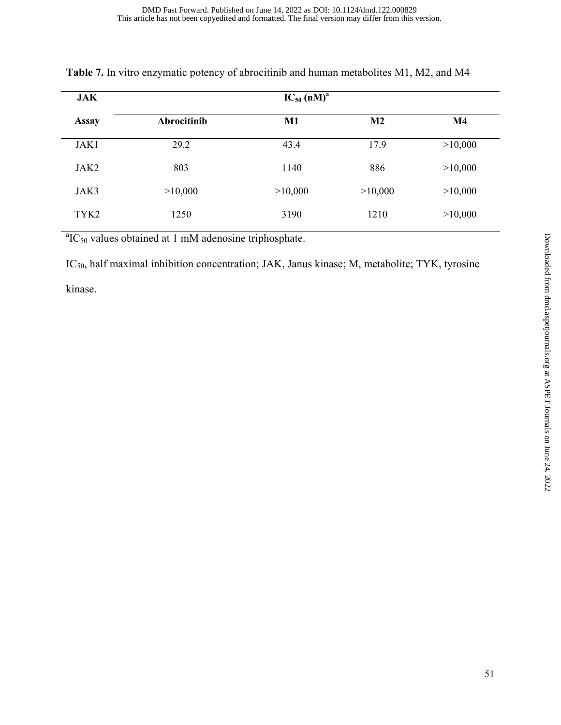| <b>JAK</b>       |             | $IC_{50}$ (nM) <sup>a</sup> |                |               |
|------------------|-------------|-----------------------------|----------------|---------------|
| <b>Assay</b>     | Abrocitinib | $M1$                        | M <sub>2</sub> | $\mathbf{M}4$ |
| JAK1             | 29.2        | 43.4                        | 17.9           | >10,000       |
| JAK2             | 803         | 1140                        | 886            | >10,000       |
| JAK3             | >10,000     | >10,000                     | >10,000        | >10,000       |
| TYK <sub>2</sub> | 1250        | 3190                        | 1210           | >10,000       |

|  |  |  |  | <b>Table 7.</b> In vitro enzymatic potency of abrocitinib and human metabolites M1, M2, and M4 |  |
|--|--|--|--|------------------------------------------------------------------------------------------------|--|
|--|--|--|--|------------------------------------------------------------------------------------------------|--|

 ${}^{a}IC_{50}$  values obtained at 1 mM adenosine triphosphate.

IC50, half maximal inhibition concentration; JAK, Janus kinase; M, metabolite; TYK, tyrosine kinase.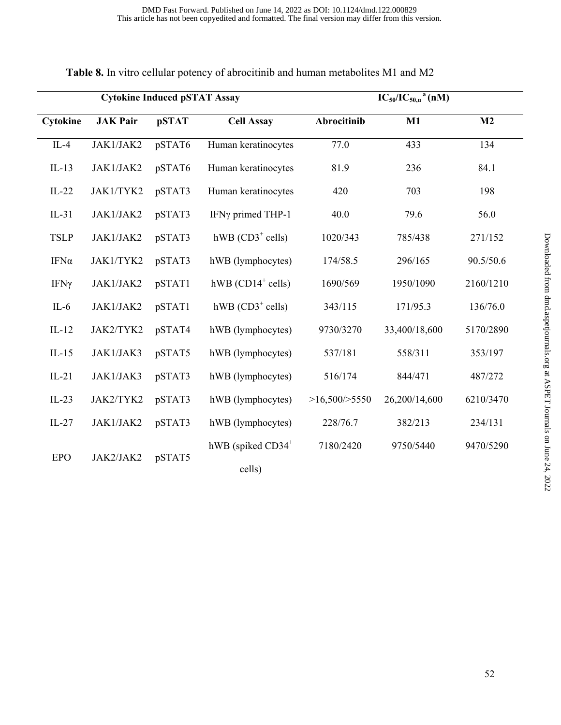| <b>Cytokine Induced pSTAT Assay</b> |                 |              | $IC_{50}/IC_{50,u}$ <sup>a</sup> (nM) |               |               |                |
|-------------------------------------|-----------------|--------------|---------------------------------------|---------------|---------------|----------------|
| Cytokine                            | <b>JAK Pair</b> | <b>pSTAT</b> | <b>Cell Assay</b>                     | Abrocitinib   | $M1$          | M <sub>2</sub> |
| $IL-4$                              | JAK1/JAK2       | pSTAT6       | Human keratinocytes                   | 77.0          | 433           | 134            |
| $IL-13$                             | JAK1/JAK2       | pSTAT6       | Human keratinocytes                   | 81.9          | 236           | 84.1           |
| $IL-22$                             | JAK1/TYK2       | pSTAT3       | Human keratinocytes                   | 420           | 703           | 198            |
| $IL-31$                             | JAK1/JAK2       | pSTAT3       | IFNγ primed THP-1                     | 40.0          | 79.6          | 56.0           |
| <b>TSLP</b>                         | JAK1/JAK2       | pSTAT3       | hWB $(CD3^+$ cells)                   | 1020/343      | 785/438       | 271/152        |
| $IFN\alpha$                         | JAK1/TYK2       | pSTAT3       | hWB (lymphocytes)                     | 174/58.5      | 296/165       | 90.5/50.6      |
| $IFN\gamma$                         | JAK1/JAK2       | pSTAT1       | hWB $(CD14+$ cells)                   | 1690/569      | 1950/1090     | 2160/1210      |
| $IL-6$                              | JAK1/JAK2       | pSTAT1       | hWB $(CD3^+$ cells)                   | 343/115       | 171/95.3      | 136/76.0       |
| $IL-12$                             | JAK2/TYK2       | pSTAT4       | hWB (lymphocytes)                     | 9730/3270     | 33,400/18,600 | 5170/2890      |
| $IL-15$                             | JAK1/JAK3       | pSTAT5       | hWB (lymphocytes)                     | 537/181       | 558/311       | 353/197        |
| $IL-21$                             | JAK1/JAK3       | pSTAT3       | hWB (lymphocytes)                     | 516/174       | 844/471       | 487/272        |
| $IL-23$                             | JAK2/TYK2       | pSTAT3       | hWB (lymphocytes)                     | >16,500/>5550 | 26,200/14,600 | 6210/3470      |
| $IL-27$                             | JAK1/JAK2       | pSTAT3       | hWB (lymphocytes)                     | 228/76.7      | 382/213       | 234/131        |
| <b>EPO</b>                          | JAK2/JAK2       |              | hWB (spiked CD34 <sup>+</sup>         | 7180/2420     | 9750/5440     | 9470/5290      |
|                                     |                 | pSTAT5       | cells)                                |               |               |                |

|  | Table 8. In vitro cellular potency of abrocitinib and human metabolites M1 and M2 |  |
|--|-----------------------------------------------------------------------------------|--|
|--|-----------------------------------------------------------------------------------|--|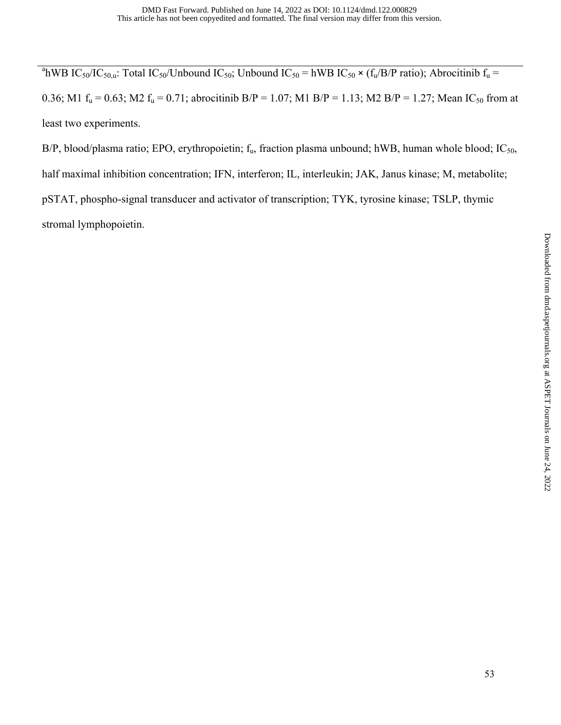<sup>a</sup>hWB IC<sub>50</sub>/IC<sub>50,u</sub>: Total IC<sub>50</sub>/Unbound IC<sub>50</sub>; Unbound IC<sub>50</sub> = hWB IC<sub>50</sub>  $\times$  (f<sub>u</sub>/B/P ratio); Abrocitinib f<sub>u</sub> = 0.36; M1  $f_u = 0.63$ ; M2  $f_u = 0.71$ ; abrocitinib B/P = 1.07; M1 B/P = 1.13; M2 B/P = 1.27; Mean IC<sub>50</sub> from at least two experiments.

B/P, blood/plasma ratio; EPO, erythropoietin;  $f_u$ , fraction plasma unbound; hWB, human whole blood; IC<sub>50</sub>, half maximal inhibition concentration; IFN, interferon; IL, interleukin; JAK, Janus kinase; M, metabolite; pSTAT, phospho-signal transducer and activator of transcription; TYK, tyrosine kinase; TSLP, thymic stromal lymphopoietin.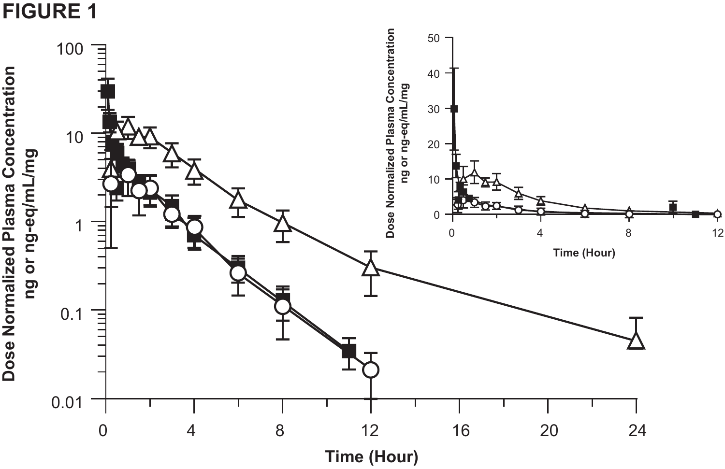

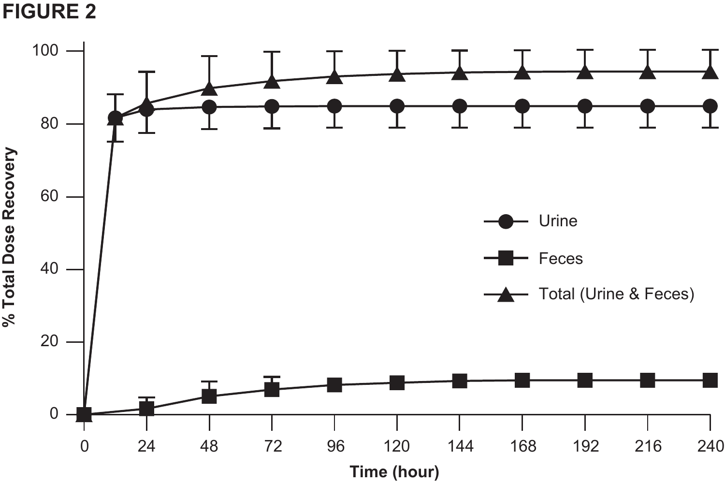**FIGURE 2**

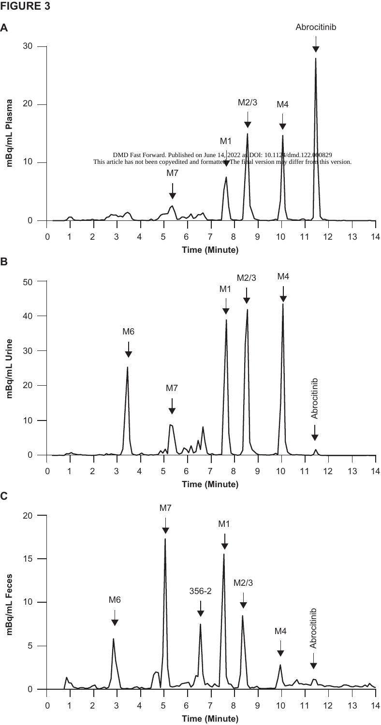# **FIGURE 3**

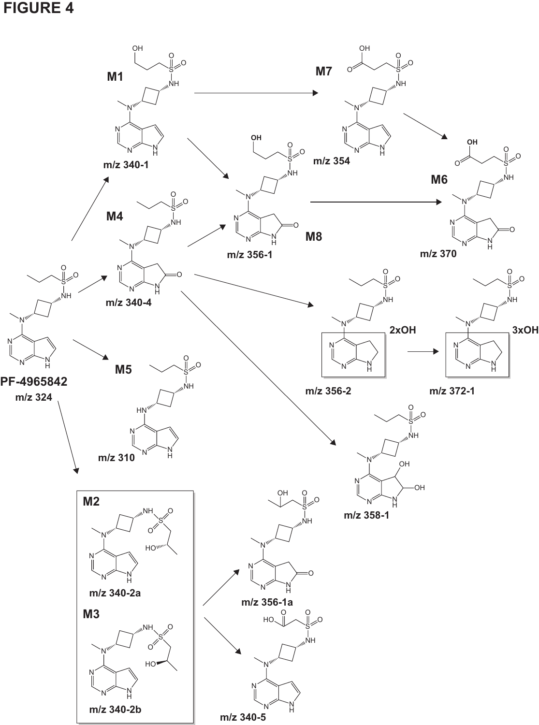# **FIGURE 4**